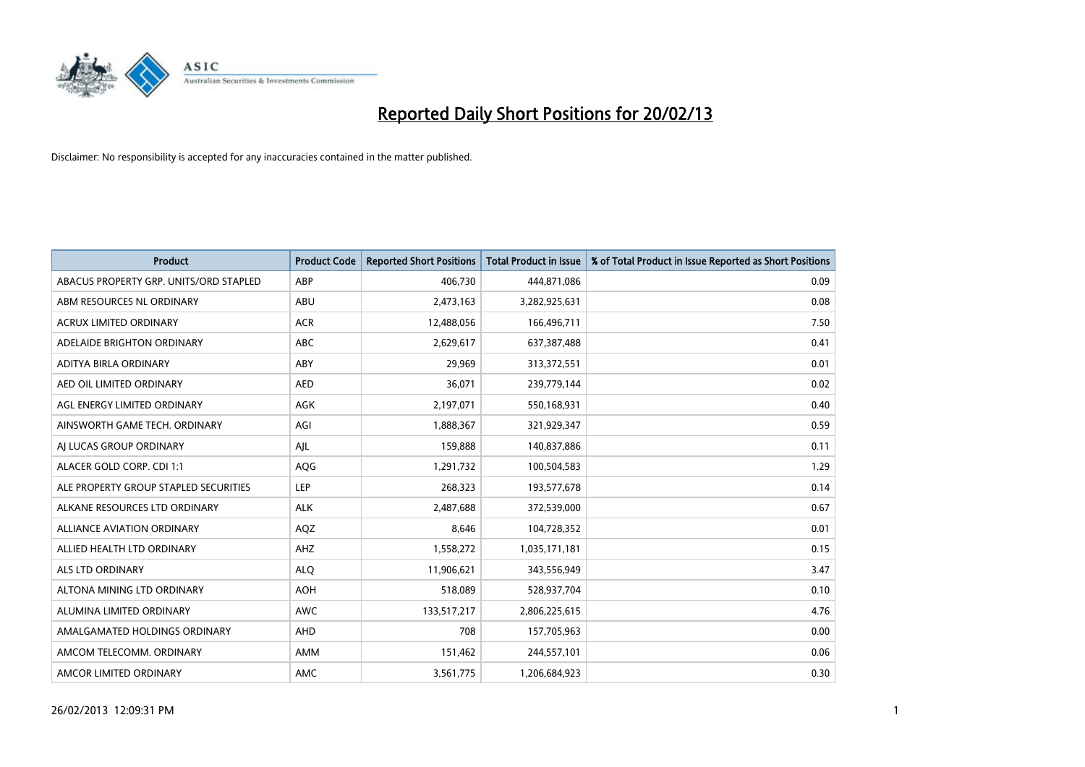

| <b>Product</b>                         | <b>Product Code</b> | <b>Reported Short Positions</b> | <b>Total Product in Issue</b> | % of Total Product in Issue Reported as Short Positions |
|----------------------------------------|---------------------|---------------------------------|-------------------------------|---------------------------------------------------------|
| ABACUS PROPERTY GRP. UNITS/ORD STAPLED | ABP                 | 406,730                         | 444,871,086                   | 0.09                                                    |
| ABM RESOURCES NL ORDINARY              | ABU                 | 2,473,163                       | 3,282,925,631                 | 0.08                                                    |
| <b>ACRUX LIMITED ORDINARY</b>          | <b>ACR</b>          | 12,488,056                      | 166,496,711                   | 7.50                                                    |
| ADELAIDE BRIGHTON ORDINARY             | <b>ABC</b>          | 2,629,617                       | 637,387,488                   | 0.41                                                    |
| ADITYA BIRLA ORDINARY                  | ABY                 | 29,969                          | 313,372,551                   | 0.01                                                    |
| AED OIL LIMITED ORDINARY               | <b>AED</b>          | 36,071                          | 239,779,144                   | 0.02                                                    |
| AGL ENERGY LIMITED ORDINARY            | AGK                 | 2,197,071                       | 550,168,931                   | 0.40                                                    |
| AINSWORTH GAME TECH. ORDINARY          | AGI                 | 1,888,367                       | 321,929,347                   | 0.59                                                    |
| AI LUCAS GROUP ORDINARY                | AJL                 | 159,888                         | 140,837,886                   | 0.11                                                    |
| ALACER GOLD CORP. CDI 1:1              | <b>AQG</b>          | 1,291,732                       | 100,504,583                   | 1.29                                                    |
| ALE PROPERTY GROUP STAPLED SECURITIES  | <b>LEP</b>          | 268,323                         | 193,577,678                   | 0.14                                                    |
| ALKANE RESOURCES LTD ORDINARY          | <b>ALK</b>          | 2,487,688                       | 372,539,000                   | 0.67                                                    |
| <b>ALLIANCE AVIATION ORDINARY</b>      | AQZ                 | 8,646                           | 104,728,352                   | 0.01                                                    |
| ALLIED HEALTH LTD ORDINARY             | AHZ                 | 1,558,272                       | 1,035,171,181                 | 0.15                                                    |
| ALS LTD ORDINARY                       | <b>ALQ</b>          | 11,906,621                      | 343,556,949                   | 3.47                                                    |
| ALTONA MINING LTD ORDINARY             | <b>AOH</b>          | 518,089                         | 528,937,704                   | 0.10                                                    |
| ALUMINA LIMITED ORDINARY               | <b>AWC</b>          | 133,517,217                     | 2,806,225,615                 | 4.76                                                    |
| AMALGAMATED HOLDINGS ORDINARY          | AHD                 | 708                             | 157,705,963                   | 0.00                                                    |
| AMCOM TELECOMM, ORDINARY               | AMM                 | 151,462                         | 244,557,101                   | 0.06                                                    |
| AMCOR LIMITED ORDINARY                 | AMC                 | 3,561,775                       | 1,206,684,923                 | 0.30                                                    |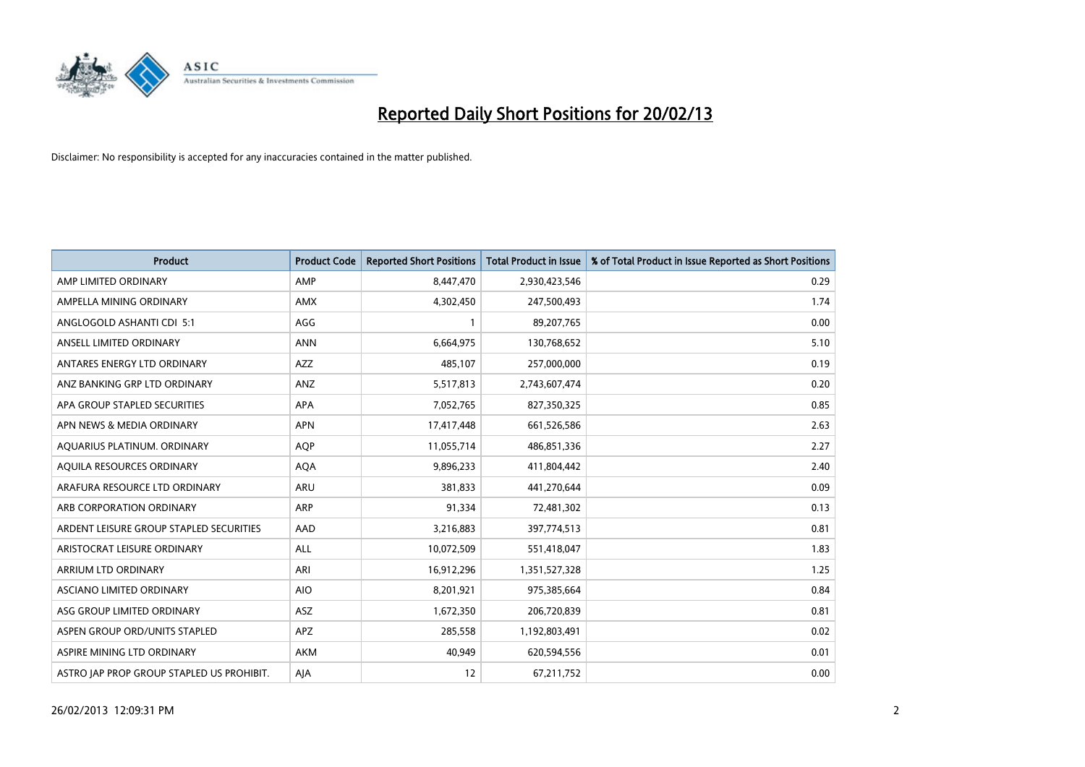

| Product                                   | <b>Product Code</b> | <b>Reported Short Positions</b> | <b>Total Product in Issue</b> | % of Total Product in Issue Reported as Short Positions |
|-------------------------------------------|---------------------|---------------------------------|-------------------------------|---------------------------------------------------------|
| AMP LIMITED ORDINARY                      | AMP                 | 8,447,470                       | 2,930,423,546                 | 0.29                                                    |
| AMPELLA MINING ORDINARY                   | AMX                 | 4,302,450                       | 247,500,493                   | 1.74                                                    |
| ANGLOGOLD ASHANTI CDI 5:1                 | AGG                 | $\mathbf{1}$                    | 89,207,765                    | 0.00                                                    |
| ANSELL LIMITED ORDINARY                   | <b>ANN</b>          | 6,664,975                       | 130,768,652                   | 5.10                                                    |
| ANTARES ENERGY LTD ORDINARY               | AZZ                 | 485,107                         | 257,000,000                   | 0.19                                                    |
| ANZ BANKING GRP LTD ORDINARY              | ANZ                 | 5,517,813                       | 2,743,607,474                 | 0.20                                                    |
| APA GROUP STAPLED SECURITIES              | <b>APA</b>          | 7,052,765                       | 827,350,325                   | 0.85                                                    |
| APN NEWS & MEDIA ORDINARY                 | <b>APN</b>          | 17,417,448                      | 661,526,586                   | 2.63                                                    |
| AQUARIUS PLATINUM. ORDINARY               | <b>AOP</b>          | 11,055,714                      | 486,851,336                   | 2.27                                                    |
| AQUILA RESOURCES ORDINARY                 | <b>AQA</b>          | 9,896,233                       | 411,804,442                   | 2.40                                                    |
| ARAFURA RESOURCE LTD ORDINARY             | <b>ARU</b>          | 381,833                         | 441,270,644                   | 0.09                                                    |
| ARB CORPORATION ORDINARY                  | ARP                 | 91,334                          | 72,481,302                    | 0.13                                                    |
| ARDENT LEISURE GROUP STAPLED SECURITIES   | AAD                 | 3,216,883                       | 397,774,513                   | 0.81                                                    |
| ARISTOCRAT LEISURE ORDINARY               | ALL                 | 10,072,509                      | 551,418,047                   | 1.83                                                    |
| ARRIUM LTD ORDINARY                       | ARI                 | 16,912,296                      | 1,351,527,328                 | 1.25                                                    |
| ASCIANO LIMITED ORDINARY                  | <b>AIO</b>          | 8,201,921                       | 975,385,664                   | 0.84                                                    |
| ASG GROUP LIMITED ORDINARY                | ASZ                 | 1,672,350                       | 206,720,839                   | 0.81                                                    |
| ASPEN GROUP ORD/UNITS STAPLED             | APZ                 | 285,558                         | 1,192,803,491                 | 0.02                                                    |
| ASPIRE MINING LTD ORDINARY                | <b>AKM</b>          | 40,949                          | 620,594,556                   | 0.01                                                    |
| ASTRO JAP PROP GROUP STAPLED US PROHIBIT. | AJA                 | 12                              | 67,211,752                    | 0.00                                                    |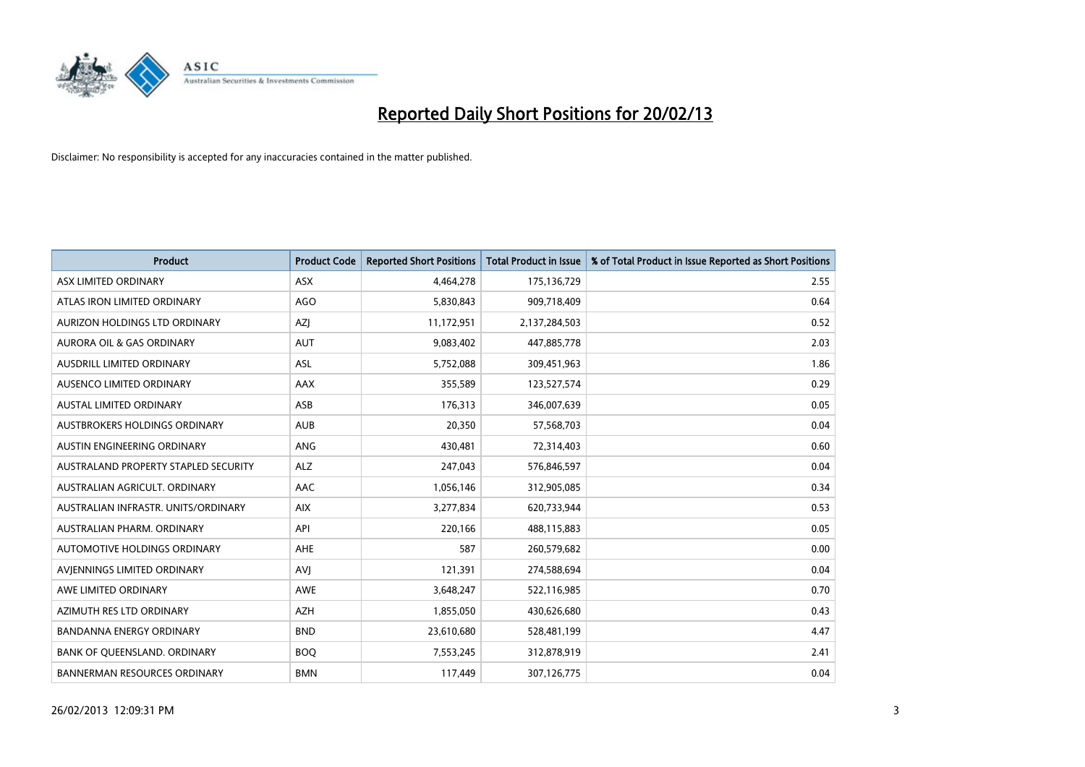

| <b>Product</b>                       | <b>Product Code</b> | <b>Reported Short Positions</b> | <b>Total Product in Issue</b> | % of Total Product in Issue Reported as Short Positions |
|--------------------------------------|---------------------|---------------------------------|-------------------------------|---------------------------------------------------------|
| ASX LIMITED ORDINARY                 | <b>ASX</b>          | 4,464,278                       | 175,136,729                   | 2.55                                                    |
| ATLAS IRON LIMITED ORDINARY          | <b>AGO</b>          | 5,830,843                       | 909,718,409                   | 0.64                                                    |
| AURIZON HOLDINGS LTD ORDINARY        | AZJ                 | 11,172,951                      | 2,137,284,503                 | 0.52                                                    |
| AURORA OIL & GAS ORDINARY            | <b>AUT</b>          | 9,083,402                       | 447,885,778                   | 2.03                                                    |
| <b>AUSDRILL LIMITED ORDINARY</b>     | ASL                 | 5,752,088                       | 309,451,963                   | 1.86                                                    |
| AUSENCO LIMITED ORDINARY             | <b>AAX</b>          | 355,589                         | 123,527,574                   | 0.29                                                    |
| <b>AUSTAL LIMITED ORDINARY</b>       | ASB                 | 176,313                         | 346,007,639                   | 0.05                                                    |
| AUSTBROKERS HOLDINGS ORDINARY        | <b>AUB</b>          | 20,350                          | 57,568,703                    | 0.04                                                    |
| AUSTIN ENGINEERING ORDINARY          | <b>ANG</b>          | 430,481                         | 72,314,403                    | 0.60                                                    |
| AUSTRALAND PROPERTY STAPLED SECURITY | <b>ALZ</b>          | 247,043                         | 576,846,597                   | 0.04                                                    |
| AUSTRALIAN AGRICULT. ORDINARY        | AAC                 | 1,056,146                       | 312,905,085                   | 0.34                                                    |
| AUSTRALIAN INFRASTR, UNITS/ORDINARY  | <b>AIX</b>          | 3,277,834                       | 620,733,944                   | 0.53                                                    |
| AUSTRALIAN PHARM. ORDINARY           | API                 | 220,166                         | 488,115,883                   | 0.05                                                    |
| AUTOMOTIVE HOLDINGS ORDINARY         | AHE                 | 587                             | 260,579,682                   | 0.00                                                    |
| AVIENNINGS LIMITED ORDINARY          | <b>AVJ</b>          | 121,391                         | 274,588,694                   | 0.04                                                    |
| AWE LIMITED ORDINARY                 | AWE                 | 3,648,247                       | 522,116,985                   | 0.70                                                    |
| AZIMUTH RES LTD ORDINARY             | <b>AZH</b>          | 1,855,050                       | 430,626,680                   | 0.43                                                    |
| <b>BANDANNA ENERGY ORDINARY</b>      | <b>BND</b>          | 23,610,680                      | 528,481,199                   | 4.47                                                    |
| BANK OF QUEENSLAND. ORDINARY         | <b>BOQ</b>          | 7,553,245                       | 312,878,919                   | 2.41                                                    |
| BANNERMAN RESOURCES ORDINARY         | <b>BMN</b>          | 117,449                         | 307,126,775                   | 0.04                                                    |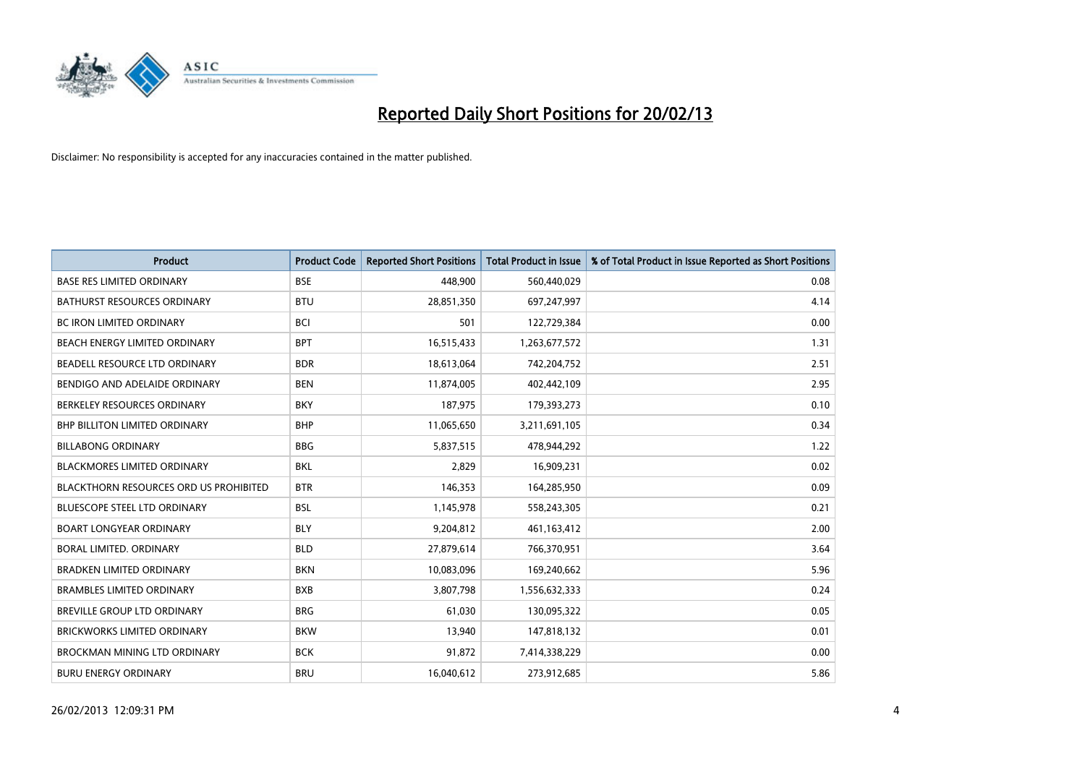

| Product                                | <b>Product Code</b> | <b>Reported Short Positions</b> | <b>Total Product in Issue</b> | % of Total Product in Issue Reported as Short Positions |
|----------------------------------------|---------------------|---------------------------------|-------------------------------|---------------------------------------------------------|
| <b>BASE RES LIMITED ORDINARY</b>       | <b>BSE</b>          | 448,900                         | 560,440,029                   | 0.08                                                    |
| <b>BATHURST RESOURCES ORDINARY</b>     | <b>BTU</b>          | 28,851,350                      | 697,247,997                   | 4.14                                                    |
| BC IRON LIMITED ORDINARY               | <b>BCI</b>          | 501                             | 122,729,384                   | 0.00                                                    |
| BEACH ENERGY LIMITED ORDINARY          | <b>BPT</b>          | 16,515,433                      | 1,263,677,572                 | 1.31                                                    |
| BEADELL RESOURCE LTD ORDINARY          | <b>BDR</b>          | 18,613,064                      | 742,204,752                   | 2.51                                                    |
| BENDIGO AND ADELAIDE ORDINARY          | <b>BEN</b>          | 11,874,005                      | 402,442,109                   | 2.95                                                    |
| BERKELEY RESOURCES ORDINARY            | <b>BKY</b>          | 187,975                         | 179,393,273                   | 0.10                                                    |
| BHP BILLITON LIMITED ORDINARY          | <b>BHP</b>          | 11,065,650                      | 3,211,691,105                 | 0.34                                                    |
| <b>BILLABONG ORDINARY</b>              | <b>BBG</b>          | 5,837,515                       | 478,944,292                   | 1.22                                                    |
| <b>BLACKMORES LIMITED ORDINARY</b>     | <b>BKL</b>          | 2,829                           | 16,909,231                    | 0.02                                                    |
| BLACKTHORN RESOURCES ORD US PROHIBITED | <b>BTR</b>          | 146,353                         | 164,285,950                   | 0.09                                                    |
| <b>BLUESCOPE STEEL LTD ORDINARY</b>    | <b>BSL</b>          | 1,145,978                       | 558,243,305                   | 0.21                                                    |
| <b>BOART LONGYEAR ORDINARY</b>         | <b>BLY</b>          | 9,204,812                       | 461,163,412                   | 2.00                                                    |
| <b>BORAL LIMITED, ORDINARY</b>         | <b>BLD</b>          | 27,879,614                      | 766,370,951                   | 3.64                                                    |
| <b>BRADKEN LIMITED ORDINARY</b>        | <b>BKN</b>          | 10,083,096                      | 169,240,662                   | 5.96                                                    |
| <b>BRAMBLES LIMITED ORDINARY</b>       | <b>BXB</b>          | 3,807,798                       | 1,556,632,333                 | 0.24                                                    |
| BREVILLE GROUP LTD ORDINARY            | <b>BRG</b>          | 61,030                          | 130,095,322                   | 0.05                                                    |
| <b>BRICKWORKS LIMITED ORDINARY</b>     | <b>BKW</b>          | 13,940                          | 147,818,132                   | 0.01                                                    |
| <b>BROCKMAN MINING LTD ORDINARY</b>    | <b>BCK</b>          | 91,872                          | 7,414,338,229                 | 0.00                                                    |
| <b>BURU ENERGY ORDINARY</b>            | <b>BRU</b>          | 16,040,612                      | 273,912,685                   | 5.86                                                    |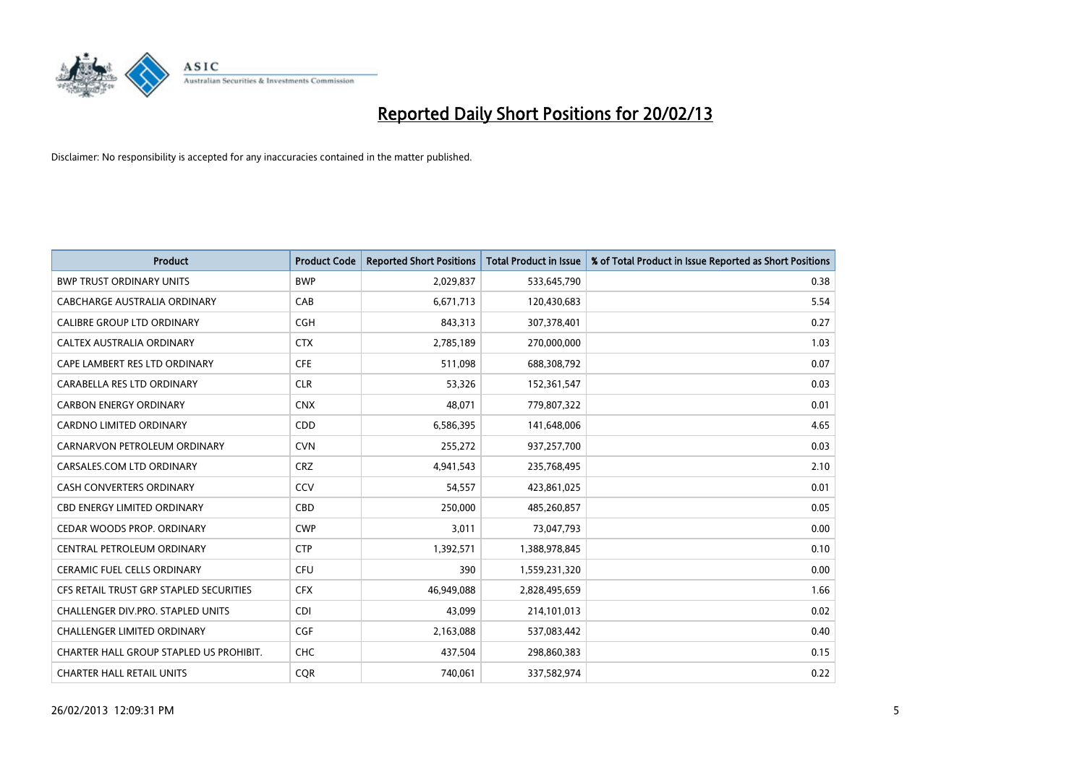

| <b>Product</b>                          | <b>Product Code</b> | <b>Reported Short Positions</b> | <b>Total Product in Issue</b> | % of Total Product in Issue Reported as Short Positions |
|-----------------------------------------|---------------------|---------------------------------|-------------------------------|---------------------------------------------------------|
| <b>BWP TRUST ORDINARY UNITS</b>         | <b>BWP</b>          | 2,029,837                       | 533,645,790                   | 0.38                                                    |
| CABCHARGE AUSTRALIA ORDINARY            | CAB                 | 6,671,713                       | 120,430,683                   | 5.54                                                    |
| <b>CALIBRE GROUP LTD ORDINARY</b>       | <b>CGH</b>          | 843,313                         | 307,378,401                   | 0.27                                                    |
| CALTEX AUSTRALIA ORDINARY               | <b>CTX</b>          | 2,785,189                       | 270,000,000                   | 1.03                                                    |
| CAPE LAMBERT RES LTD ORDINARY           | <b>CFE</b>          | 511,098                         | 688,308,792                   | 0.07                                                    |
| CARABELLA RES LTD ORDINARY              | <b>CLR</b>          | 53,326                          | 152,361,547                   | 0.03                                                    |
| <b>CARBON ENERGY ORDINARY</b>           | <b>CNX</b>          | 48,071                          | 779,807,322                   | 0.01                                                    |
| CARDNO LIMITED ORDINARY                 | CDD                 | 6,586,395                       | 141,648,006                   | 4.65                                                    |
| CARNARVON PETROLEUM ORDINARY            | <b>CVN</b>          | 255,272                         | 937,257,700                   | 0.03                                                    |
| CARSALES.COM LTD ORDINARY               | <b>CRZ</b>          | 4,941,543                       | 235,768,495                   | 2.10                                                    |
| CASH CONVERTERS ORDINARY                | CCV                 | 54,557                          | 423,861,025                   | 0.01                                                    |
| <b>CBD ENERGY LIMITED ORDINARY</b>      | CBD                 | 250,000                         | 485,260,857                   | 0.05                                                    |
| CEDAR WOODS PROP. ORDINARY              | <b>CWP</b>          | 3,011                           | 73,047,793                    | 0.00                                                    |
| CENTRAL PETROLEUM ORDINARY              | <b>CTP</b>          | 1,392,571                       | 1,388,978,845                 | 0.10                                                    |
| <b>CERAMIC FUEL CELLS ORDINARY</b>      | <b>CFU</b>          | 390                             | 1,559,231,320                 | 0.00                                                    |
| CFS RETAIL TRUST GRP STAPLED SECURITIES | <b>CFX</b>          | 46,949,088                      | 2,828,495,659                 | 1.66                                                    |
| CHALLENGER DIV.PRO. STAPLED UNITS       | <b>CDI</b>          | 43,099                          | 214,101,013                   | 0.02                                                    |
| <b>CHALLENGER LIMITED ORDINARY</b>      | <b>CGF</b>          | 2,163,088                       | 537,083,442                   | 0.40                                                    |
| CHARTER HALL GROUP STAPLED US PROHIBIT. | <b>CHC</b>          | 437,504                         | 298,860,383                   | 0.15                                                    |
| <b>CHARTER HALL RETAIL UNITS</b>        | <b>COR</b>          | 740,061                         | 337,582,974                   | 0.22                                                    |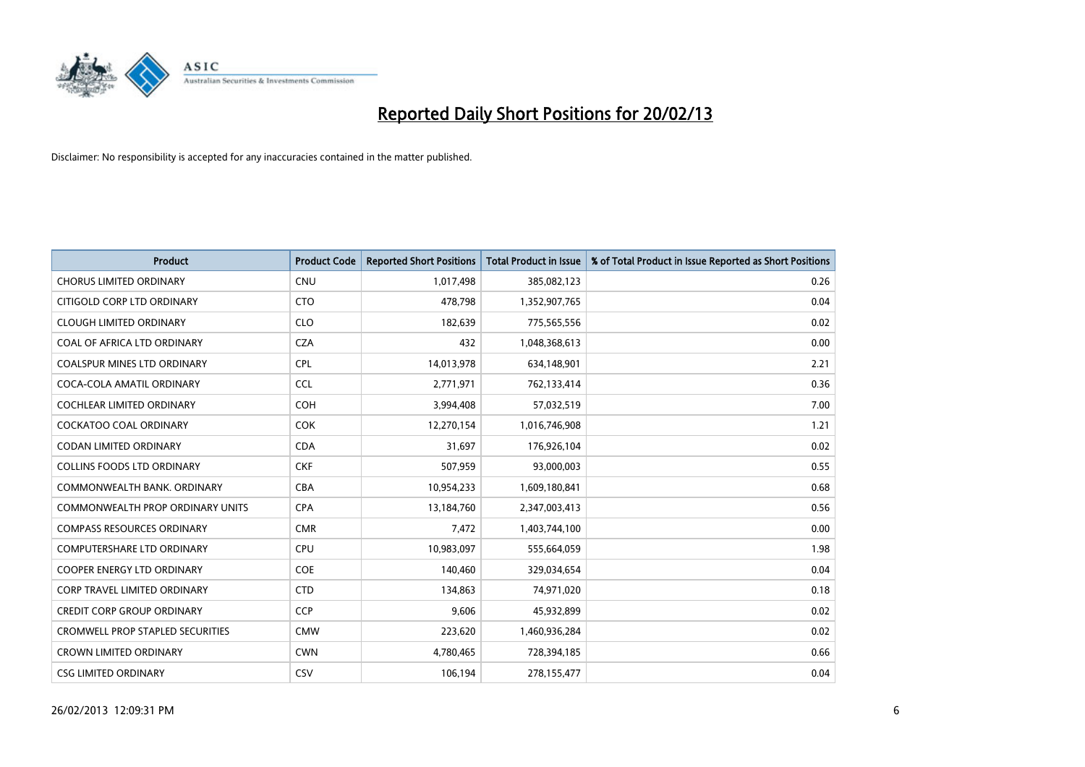

| <b>Product</b>                          | <b>Product Code</b> | <b>Reported Short Positions</b> | <b>Total Product in Issue</b> | % of Total Product in Issue Reported as Short Positions |
|-----------------------------------------|---------------------|---------------------------------|-------------------------------|---------------------------------------------------------|
| <b>CHORUS LIMITED ORDINARY</b>          | <b>CNU</b>          | 1,017,498                       | 385,082,123                   | 0.26                                                    |
| CITIGOLD CORP LTD ORDINARY              | <b>CTO</b>          | 478,798                         | 1,352,907,765                 | 0.04                                                    |
| <b>CLOUGH LIMITED ORDINARY</b>          | <b>CLO</b>          | 182,639                         | 775,565,556                   | 0.02                                                    |
| COAL OF AFRICA LTD ORDINARY             | <b>CZA</b>          | 432                             | 1,048,368,613                 | 0.00                                                    |
| <b>COALSPUR MINES LTD ORDINARY</b>      | <b>CPL</b>          | 14,013,978                      | 634,148,901                   | 2.21                                                    |
| COCA-COLA AMATIL ORDINARY               | <b>CCL</b>          | 2,771,971                       | 762,133,414                   | 0.36                                                    |
| COCHLEAR LIMITED ORDINARY               | <b>COH</b>          | 3,994,408                       | 57,032,519                    | 7.00                                                    |
| COCKATOO COAL ORDINARY                  | COK                 | 12,270,154                      | 1,016,746,908                 | 1.21                                                    |
| <b>CODAN LIMITED ORDINARY</b>           | <b>CDA</b>          | 31,697                          | 176,926,104                   | 0.02                                                    |
| <b>COLLINS FOODS LTD ORDINARY</b>       | <b>CKF</b>          | 507,959                         | 93,000,003                    | 0.55                                                    |
| COMMONWEALTH BANK, ORDINARY             | <b>CBA</b>          | 10,954,233                      | 1,609,180,841                 | 0.68                                                    |
| <b>COMMONWEALTH PROP ORDINARY UNITS</b> | <b>CPA</b>          | 13,184,760                      | 2,347,003,413                 | 0.56                                                    |
| <b>COMPASS RESOURCES ORDINARY</b>       | <b>CMR</b>          | 7,472                           | 1,403,744,100                 | 0.00                                                    |
| <b>COMPUTERSHARE LTD ORDINARY</b>       | <b>CPU</b>          | 10,983,097                      | 555,664,059                   | 1.98                                                    |
| <b>COOPER ENERGY LTD ORDINARY</b>       | <b>COE</b>          | 140,460                         | 329,034,654                   | 0.04                                                    |
| <b>CORP TRAVEL LIMITED ORDINARY</b>     | <b>CTD</b>          | 134,863                         | 74,971,020                    | 0.18                                                    |
| <b>CREDIT CORP GROUP ORDINARY</b>       | <b>CCP</b>          | 9,606                           | 45,932,899                    | 0.02                                                    |
| <b>CROMWELL PROP STAPLED SECURITIES</b> | <b>CMW</b>          | 223,620                         | 1,460,936,284                 | 0.02                                                    |
| <b>CROWN LIMITED ORDINARY</b>           | <b>CWN</b>          | 4,780,465                       | 728,394,185                   | 0.66                                                    |
| <b>CSG LIMITED ORDINARY</b>             | <b>CSV</b>          | 106,194                         | 278,155,477                   | 0.04                                                    |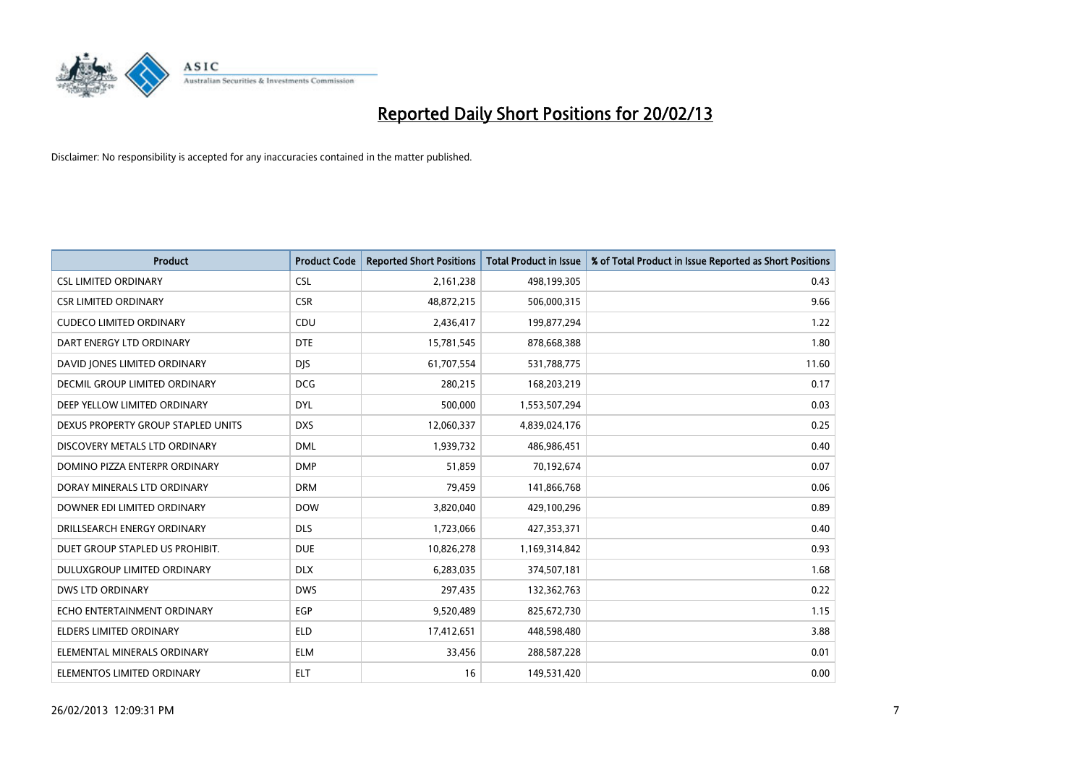

| <b>Product</b>                     | <b>Product Code</b> | <b>Reported Short Positions</b> | <b>Total Product in Issue</b> | % of Total Product in Issue Reported as Short Positions |
|------------------------------------|---------------------|---------------------------------|-------------------------------|---------------------------------------------------------|
| <b>CSL LIMITED ORDINARY</b>        | <b>CSL</b>          | 2,161,238                       | 498,199,305                   | 0.43                                                    |
| <b>CSR LIMITED ORDINARY</b>        | <b>CSR</b>          | 48,872,215                      | 506,000,315                   | 9.66                                                    |
| <b>CUDECO LIMITED ORDINARY</b>     | <b>CDU</b>          | 2,436,417                       | 199,877,294                   | 1.22                                                    |
| DART ENERGY LTD ORDINARY           | <b>DTE</b>          | 15,781,545                      | 878,668,388                   | 1.80                                                    |
| DAVID JONES LIMITED ORDINARY       | <b>DJS</b>          | 61,707,554                      | 531,788,775                   | 11.60                                                   |
| DECMIL GROUP LIMITED ORDINARY      | <b>DCG</b>          | 280,215                         | 168,203,219                   | 0.17                                                    |
| DEEP YELLOW LIMITED ORDINARY       | <b>DYL</b>          | 500,000                         | 1,553,507,294                 | 0.03                                                    |
| DEXUS PROPERTY GROUP STAPLED UNITS | <b>DXS</b>          | 12,060,337                      | 4,839,024,176                 | 0.25                                                    |
| DISCOVERY METALS LTD ORDINARY      | <b>DML</b>          | 1,939,732                       | 486,986,451                   | 0.40                                                    |
| DOMINO PIZZA ENTERPR ORDINARY      | <b>DMP</b>          | 51,859                          | 70,192,674                    | 0.07                                                    |
| DORAY MINERALS LTD ORDINARY        | <b>DRM</b>          | 79,459                          | 141,866,768                   | 0.06                                                    |
| DOWNER EDI LIMITED ORDINARY        | <b>DOW</b>          | 3,820,040                       | 429,100,296                   | 0.89                                                    |
| DRILLSEARCH ENERGY ORDINARY        | <b>DLS</b>          | 1,723,066                       | 427,353,371                   | 0.40                                                    |
| DUET GROUP STAPLED US PROHIBIT.    | <b>DUE</b>          | 10,826,278                      | 1,169,314,842                 | 0.93                                                    |
| DULUXGROUP LIMITED ORDINARY        | <b>DLX</b>          | 6,283,035                       | 374,507,181                   | 1.68                                                    |
| <b>DWS LTD ORDINARY</b>            | <b>DWS</b>          | 297,435                         | 132,362,763                   | 0.22                                                    |
| ECHO ENTERTAINMENT ORDINARY        | EGP                 | 9,520,489                       | 825,672,730                   | 1.15                                                    |
| ELDERS LIMITED ORDINARY            | <b>ELD</b>          | 17,412,651                      | 448,598,480                   | 3.88                                                    |
| ELEMENTAL MINERALS ORDINARY        | <b>ELM</b>          | 33,456                          | 288,587,228                   | 0.01                                                    |
| ELEMENTOS LIMITED ORDINARY         | <b>ELT</b>          | 16                              | 149,531,420                   | 0.00                                                    |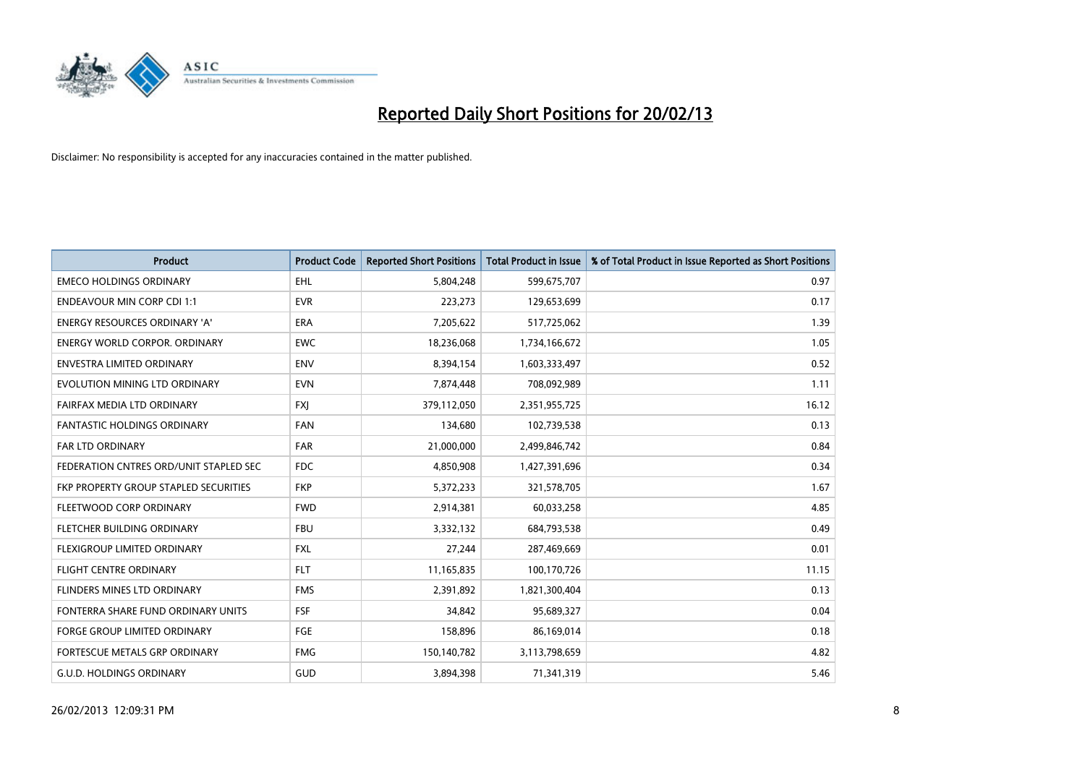

| <b>Product</b>                         | <b>Product Code</b> | <b>Reported Short Positions</b> | <b>Total Product in Issue</b> | % of Total Product in Issue Reported as Short Positions |
|----------------------------------------|---------------------|---------------------------------|-------------------------------|---------------------------------------------------------|
| <b>EMECO HOLDINGS ORDINARY</b>         | <b>EHL</b>          | 5,804,248                       | 599,675,707                   | 0.97                                                    |
| <b>ENDEAVOUR MIN CORP CDI 1:1</b>      | <b>EVR</b>          | 223,273                         | 129,653,699                   | 0.17                                                    |
| <b>ENERGY RESOURCES ORDINARY 'A'</b>   | <b>ERA</b>          | 7,205,622                       | 517,725,062                   | 1.39                                                    |
| ENERGY WORLD CORPOR. ORDINARY          | <b>EWC</b>          | 18,236,068                      | 1,734,166,672                 | 1.05                                                    |
| <b>ENVESTRA LIMITED ORDINARY</b>       | <b>ENV</b>          | 8,394,154                       | 1,603,333,497                 | 0.52                                                    |
| EVOLUTION MINING LTD ORDINARY          | <b>EVN</b>          | 7,874,448                       | 708,092,989                   | 1.11                                                    |
| FAIRFAX MEDIA LTD ORDINARY             | <b>FXI</b>          | 379,112,050                     | 2,351,955,725                 | 16.12                                                   |
| <b>FANTASTIC HOLDINGS ORDINARY</b>     | <b>FAN</b>          | 134.680                         | 102,739,538                   | 0.13                                                    |
| <b>FAR LTD ORDINARY</b>                | <b>FAR</b>          | 21,000,000                      | 2,499,846,742                 | 0.84                                                    |
| FEDERATION CNTRES ORD/UNIT STAPLED SEC | <b>FDC</b>          | 4,850,908                       | 1,427,391,696                 | 0.34                                                    |
| FKP PROPERTY GROUP STAPLED SECURITIES  | <b>FKP</b>          | 5,372,233                       | 321,578,705                   | 1.67                                                    |
| FLEETWOOD CORP ORDINARY                | <b>FWD</b>          | 2,914,381                       | 60,033,258                    | 4.85                                                    |
| FLETCHER BUILDING ORDINARY             | <b>FBU</b>          | 3,332,132                       | 684,793,538                   | 0.49                                                    |
| FLEXIGROUP LIMITED ORDINARY            | <b>FXL</b>          | 27,244                          | 287,469,669                   | 0.01                                                    |
| <b>FLIGHT CENTRE ORDINARY</b>          | <b>FLT</b>          | 11,165,835                      | 100,170,726                   | 11.15                                                   |
| FLINDERS MINES LTD ORDINARY            | <b>FMS</b>          | 2,391,892                       | 1,821,300,404                 | 0.13                                                    |
| FONTERRA SHARE FUND ORDINARY UNITS     | <b>FSF</b>          | 34,842                          | 95,689,327                    | 0.04                                                    |
| FORGE GROUP LIMITED ORDINARY           | FGE                 | 158,896                         | 86,169,014                    | 0.18                                                    |
| FORTESCUE METALS GRP ORDINARY          | <b>FMG</b>          | 150,140,782                     | 3,113,798,659                 | 4.82                                                    |
| <b>G.U.D. HOLDINGS ORDINARY</b>        | GUD                 | 3,894,398                       | 71,341,319                    | 5.46                                                    |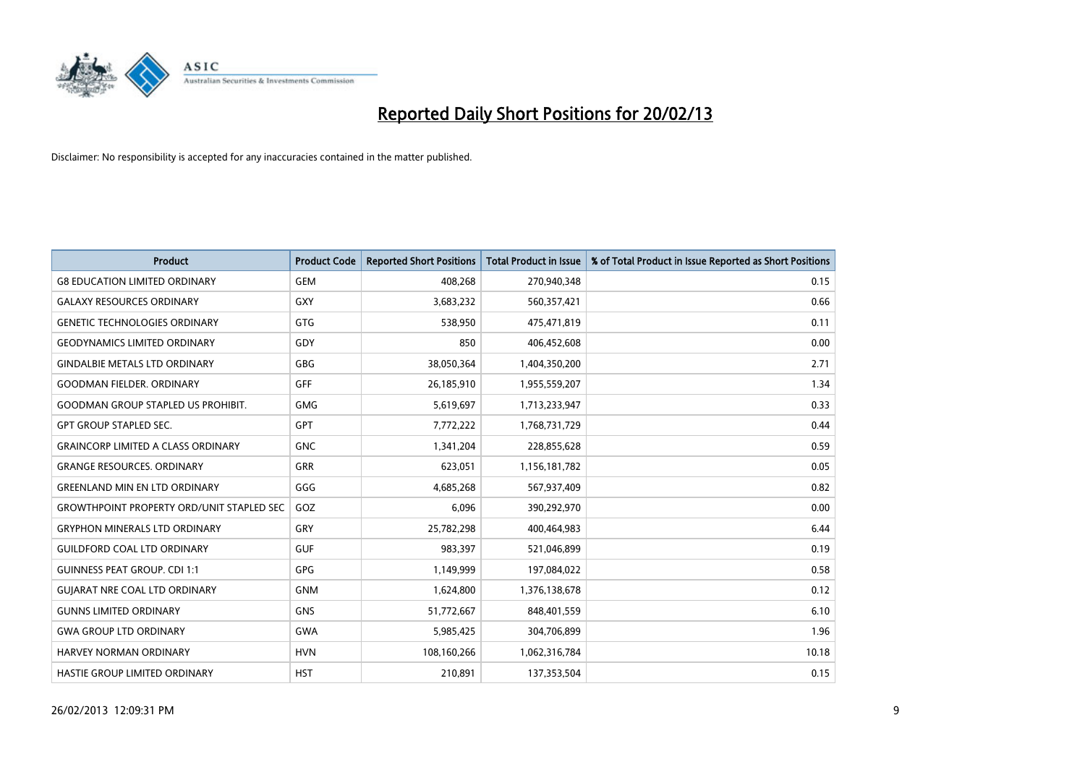

| <b>Product</b>                                   | <b>Product Code</b> | <b>Reported Short Positions</b> | <b>Total Product in Issue</b> | % of Total Product in Issue Reported as Short Positions |
|--------------------------------------------------|---------------------|---------------------------------|-------------------------------|---------------------------------------------------------|
| <b>G8 EDUCATION LIMITED ORDINARY</b>             | <b>GEM</b>          | 408,268                         | 270,940,348                   | 0.15                                                    |
| <b>GALAXY RESOURCES ORDINARY</b>                 | GXY                 | 3,683,232                       | 560,357,421                   | 0.66                                                    |
| <b>GENETIC TECHNOLOGIES ORDINARY</b>             | <b>GTG</b>          | 538,950                         | 475,471,819                   | 0.11                                                    |
| <b>GEODYNAMICS LIMITED ORDINARY</b>              | GDY                 | 850                             | 406,452,608                   | 0.00                                                    |
| <b>GINDALBIE METALS LTD ORDINARY</b>             | <b>GBG</b>          | 38,050,364                      | 1,404,350,200                 | 2.71                                                    |
| <b>GOODMAN FIELDER, ORDINARY</b>                 | <b>GFF</b>          | 26,185,910                      | 1,955,559,207                 | 1.34                                                    |
| <b>GOODMAN GROUP STAPLED US PROHIBIT.</b>        | <b>GMG</b>          | 5,619,697                       | 1,713,233,947                 | 0.33                                                    |
| <b>GPT GROUP STAPLED SEC.</b>                    | GPT                 | 7,772,222                       | 1,768,731,729                 | 0.44                                                    |
| <b>GRAINCORP LIMITED A CLASS ORDINARY</b>        | <b>GNC</b>          | 1,341,204                       | 228,855,628                   | 0.59                                                    |
| <b>GRANGE RESOURCES, ORDINARY</b>                | <b>GRR</b>          | 623,051                         | 1,156,181,782                 | 0.05                                                    |
| <b>GREENLAND MIN EN LTD ORDINARY</b>             | GGG                 | 4,685,268                       | 567,937,409                   | 0.82                                                    |
| <b>GROWTHPOINT PROPERTY ORD/UNIT STAPLED SEC</b> | GOZ                 | 6,096                           | 390,292,970                   | 0.00                                                    |
| <b>GRYPHON MINERALS LTD ORDINARY</b>             | GRY                 | 25,782,298                      | 400,464,983                   | 6.44                                                    |
| <b>GUILDFORD COAL LTD ORDINARY</b>               | <b>GUF</b>          | 983,397                         | 521,046,899                   | 0.19                                                    |
| <b>GUINNESS PEAT GROUP. CDI 1:1</b>              | <b>GPG</b>          | 1,149,999                       | 197,084,022                   | 0.58                                                    |
| <b>GUIARAT NRE COAL LTD ORDINARY</b>             | <b>GNM</b>          | 1,624,800                       | 1,376,138,678                 | 0.12                                                    |
| <b>GUNNS LIMITED ORDINARY</b>                    | <b>GNS</b>          | 51,772,667                      | 848,401,559                   | 6.10                                                    |
| <b>GWA GROUP LTD ORDINARY</b>                    | <b>GWA</b>          | 5,985,425                       | 304,706,899                   | 1.96                                                    |
| <b>HARVEY NORMAN ORDINARY</b>                    | <b>HVN</b>          | 108,160,266                     | 1,062,316,784                 | 10.18                                                   |
| HASTIE GROUP LIMITED ORDINARY                    | <b>HST</b>          | 210,891                         | 137,353,504                   | 0.15                                                    |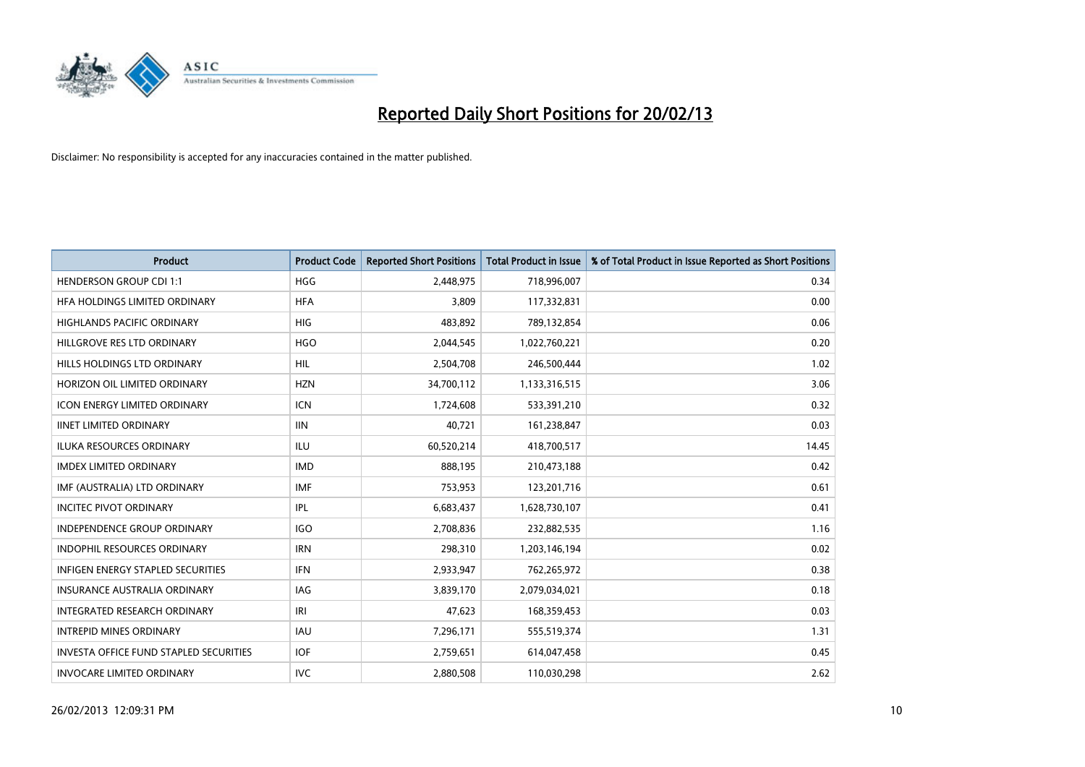

| <b>Product</b>                                | <b>Product Code</b> | <b>Reported Short Positions</b> | <b>Total Product in Issue</b> | % of Total Product in Issue Reported as Short Positions |
|-----------------------------------------------|---------------------|---------------------------------|-------------------------------|---------------------------------------------------------|
| <b>HENDERSON GROUP CDI 1:1</b>                | <b>HGG</b>          | 2,448,975                       | 718,996,007                   | 0.34                                                    |
| HEA HOLDINGS LIMITED ORDINARY                 | <b>HFA</b>          | 3.809                           | 117,332,831                   | 0.00                                                    |
| <b>HIGHLANDS PACIFIC ORDINARY</b>             | <b>HIG</b>          | 483,892                         | 789,132,854                   | 0.06                                                    |
| HILLGROVE RES LTD ORDINARY                    | <b>HGO</b>          | 2,044,545                       | 1,022,760,221                 | 0.20                                                    |
| HILLS HOLDINGS LTD ORDINARY                   | <b>HIL</b>          | 2,504,708                       | 246,500,444                   | 1.02                                                    |
| HORIZON OIL LIMITED ORDINARY                  | <b>HZN</b>          | 34,700,112                      | 1,133,316,515                 | 3.06                                                    |
| <b>ICON ENERGY LIMITED ORDINARY</b>           | ICN                 | 1,724,608                       | 533,391,210                   | 0.32                                                    |
| <b>IINET LIMITED ORDINARY</b>                 | <b>IIN</b>          | 40,721                          | 161,238,847                   | 0.03                                                    |
| <b>ILUKA RESOURCES ORDINARY</b>               | ILU                 | 60,520,214                      | 418,700,517                   | 14.45                                                   |
| <b>IMDEX LIMITED ORDINARY</b>                 | <b>IMD</b>          | 888,195                         | 210,473,188                   | 0.42                                                    |
| IMF (AUSTRALIA) LTD ORDINARY                  | <b>IMF</b>          | 753,953                         | 123,201,716                   | 0.61                                                    |
| <b>INCITEC PIVOT ORDINARY</b>                 | IPL                 | 6,683,437                       | 1,628,730,107                 | 0.41                                                    |
| INDEPENDENCE GROUP ORDINARY                   | <b>IGO</b>          | 2,708,836                       | 232,882,535                   | 1.16                                                    |
| <b>INDOPHIL RESOURCES ORDINARY</b>            | <b>IRN</b>          | 298,310                         | 1,203,146,194                 | 0.02                                                    |
| <b>INFIGEN ENERGY STAPLED SECURITIES</b>      | <b>IFN</b>          | 2,933,947                       | 762,265,972                   | 0.38                                                    |
| <b>INSURANCE AUSTRALIA ORDINARY</b>           | IAG                 | 3,839,170                       | 2,079,034,021                 | 0.18                                                    |
| <b>INTEGRATED RESEARCH ORDINARY</b>           | IRI                 | 47,623                          | 168,359,453                   | 0.03                                                    |
| <b>INTREPID MINES ORDINARY</b>                | <b>IAU</b>          | 7,296,171                       | 555,519,374                   | 1.31                                                    |
| <b>INVESTA OFFICE FUND STAPLED SECURITIES</b> | <b>IOF</b>          | 2,759,651                       | 614,047,458                   | 0.45                                                    |
| <b>INVOCARE LIMITED ORDINARY</b>              | <b>IVC</b>          | 2,880,508                       | 110,030,298                   | 2.62                                                    |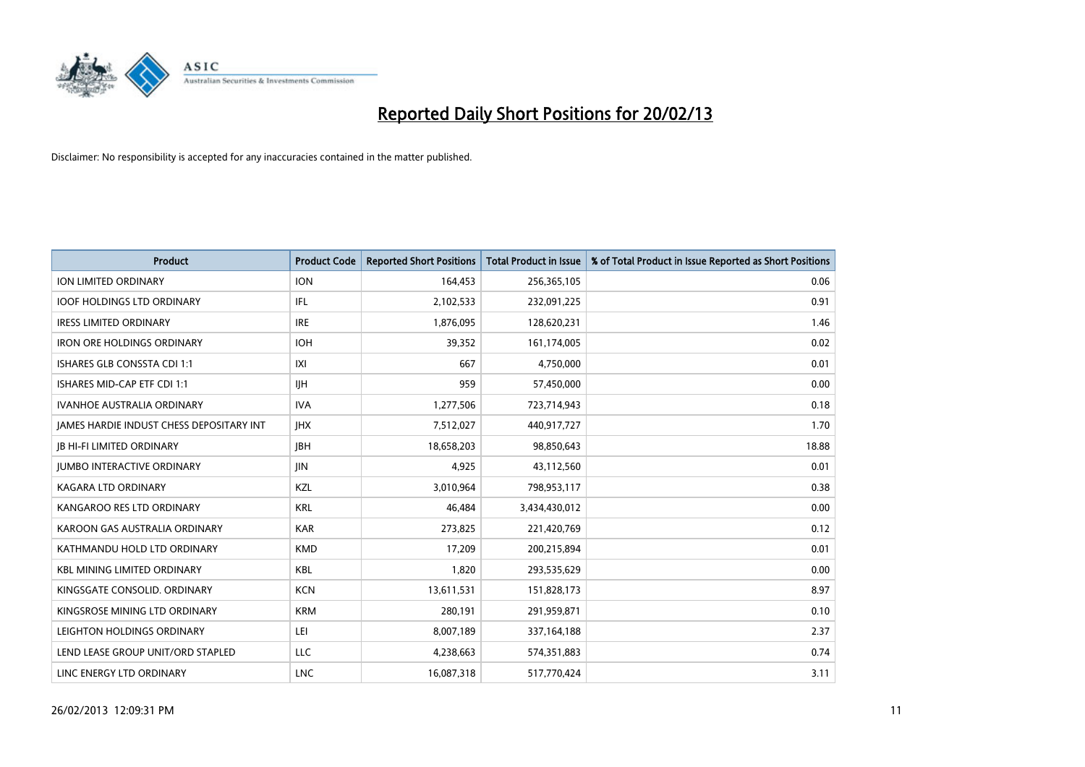

| <b>Product</b>                           | <b>Product Code</b> | <b>Reported Short Positions</b> | <b>Total Product in Issue</b> | % of Total Product in Issue Reported as Short Positions |
|------------------------------------------|---------------------|---------------------------------|-------------------------------|---------------------------------------------------------|
| <b>ION LIMITED ORDINARY</b>              | <b>ION</b>          | 164,453                         | 256,365,105                   | 0.06                                                    |
| <b>IOOF HOLDINGS LTD ORDINARY</b>        | IFL                 | 2,102,533                       | 232,091,225                   | 0.91                                                    |
| <b>IRESS LIMITED ORDINARY</b>            | <b>IRE</b>          | 1,876,095                       | 128,620,231                   | 1.46                                                    |
| <b>IRON ORE HOLDINGS ORDINARY</b>        | <b>IOH</b>          | 39,352                          | 161,174,005                   | 0.02                                                    |
| ISHARES GLB CONSSTA CDI 1:1              | IXI                 | 667                             | 4,750,000                     | 0.01                                                    |
| ISHARES MID-CAP ETF CDI 1:1              | <b>IIH</b>          | 959                             | 57,450,000                    | 0.00                                                    |
| <b>IVANHOE AUSTRALIA ORDINARY</b>        | <b>IVA</b>          | 1,277,506                       | 723,714,943                   | 0.18                                                    |
| JAMES HARDIE INDUST CHESS DEPOSITARY INT | <b>IHX</b>          | 7,512,027                       | 440,917,727                   | 1.70                                                    |
| <b>JB HI-FI LIMITED ORDINARY</b>         | <b>IBH</b>          | 18,658,203                      | 98,850,643                    | 18.88                                                   |
| <b>JUMBO INTERACTIVE ORDINARY</b>        | JIN                 | 4,925                           | 43,112,560                    | 0.01                                                    |
| <b>KAGARA LTD ORDINARY</b>               | <b>KZL</b>          | 3,010,964                       | 798,953,117                   | 0.38                                                    |
| KANGAROO RES LTD ORDINARY                | <b>KRL</b>          | 46,484                          | 3,434,430,012                 | 0.00                                                    |
| KAROON GAS AUSTRALIA ORDINARY            | <b>KAR</b>          | 273,825                         | 221,420,769                   | 0.12                                                    |
| KATHMANDU HOLD LTD ORDINARY              | <b>KMD</b>          | 17,209                          | 200,215,894                   | 0.01                                                    |
| <b>KBL MINING LIMITED ORDINARY</b>       | <b>KBL</b>          | 1,820                           | 293,535,629                   | 0.00                                                    |
| KINGSGATE CONSOLID. ORDINARY             | <b>KCN</b>          | 13,611,531                      | 151,828,173                   | 8.97                                                    |
| KINGSROSE MINING LTD ORDINARY            | <b>KRM</b>          | 280,191                         | 291,959,871                   | 0.10                                                    |
| LEIGHTON HOLDINGS ORDINARY               | LEI                 | 8,007,189                       | 337,164,188                   | 2.37                                                    |
| LEND LEASE GROUP UNIT/ORD STAPLED        | <b>LLC</b>          | 4,238,663                       | 574,351,883                   | 0.74                                                    |
| LINC ENERGY LTD ORDINARY                 | <b>LNC</b>          | 16,087,318                      | 517,770,424                   | 3.11                                                    |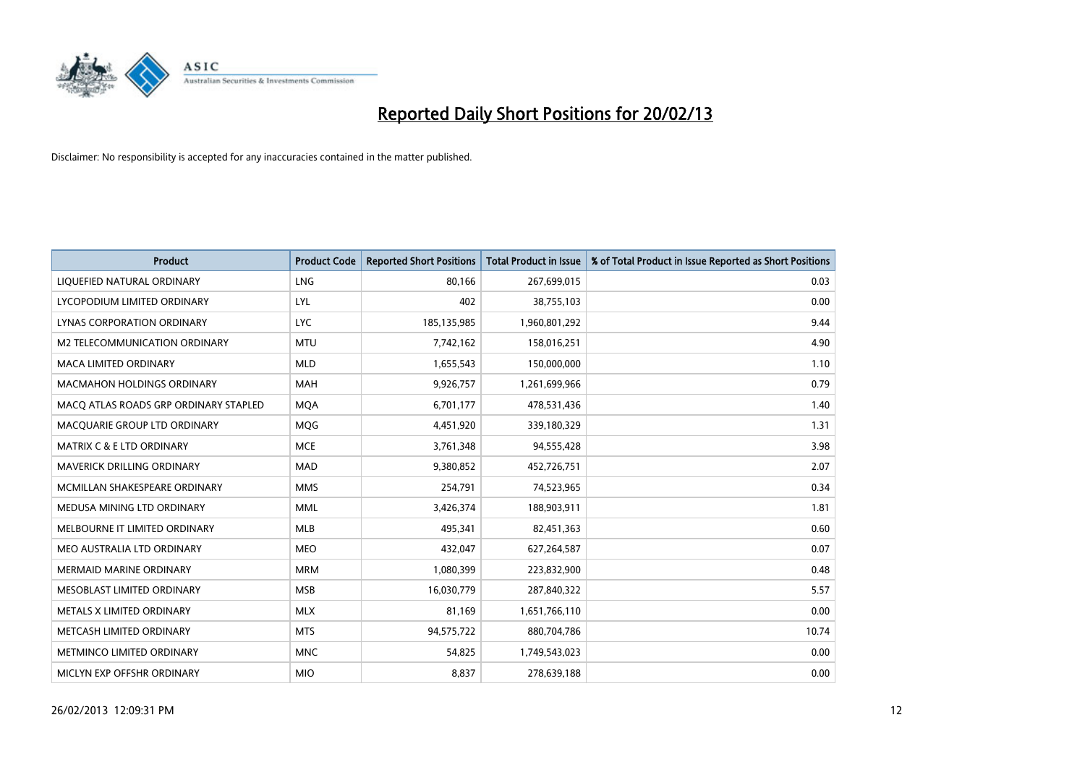

| <b>Product</b>                        | <b>Product Code</b> | <b>Reported Short Positions</b> | <b>Total Product in Issue</b> | % of Total Product in Issue Reported as Short Positions |
|---------------------------------------|---------------------|---------------------------------|-------------------------------|---------------------------------------------------------|
| LIQUEFIED NATURAL ORDINARY            | LNG                 | 80,166                          | 267,699,015                   | 0.03                                                    |
| LYCOPODIUM LIMITED ORDINARY           | LYL                 | 402                             | 38,755,103                    | 0.00                                                    |
| LYNAS CORPORATION ORDINARY            | <b>LYC</b>          | 185, 135, 985                   | 1,960,801,292                 | 9.44                                                    |
| M2 TELECOMMUNICATION ORDINARY         | <b>MTU</b>          | 7,742,162                       | 158,016,251                   | 4.90                                                    |
| <b>MACA LIMITED ORDINARY</b>          | <b>MLD</b>          | 1,655,543                       | 150,000,000                   | 1.10                                                    |
| <b>MACMAHON HOLDINGS ORDINARY</b>     | <b>MAH</b>          | 9,926,757                       | 1,261,699,966                 | 0.79                                                    |
| MACQ ATLAS ROADS GRP ORDINARY STAPLED | <b>MQA</b>          | 6,701,177                       | 478,531,436                   | 1.40                                                    |
| MACQUARIE GROUP LTD ORDINARY          | MQG                 | 4,451,920                       | 339,180,329                   | 1.31                                                    |
| <b>MATRIX C &amp; E LTD ORDINARY</b>  | <b>MCE</b>          | 3,761,348                       | 94,555,428                    | 3.98                                                    |
| MAVERICK DRILLING ORDINARY            | <b>MAD</b>          | 9,380,852                       | 452,726,751                   | 2.07                                                    |
| MCMILLAN SHAKESPEARE ORDINARY         | <b>MMS</b>          | 254,791                         | 74,523,965                    | 0.34                                                    |
| MEDUSA MINING LTD ORDINARY            | <b>MML</b>          | 3,426,374                       | 188,903,911                   | 1.81                                                    |
| MELBOURNE IT LIMITED ORDINARY         | MLB                 | 495,341                         | 82,451,363                    | 0.60                                                    |
| MEO AUSTRALIA LTD ORDINARY            | <b>MEO</b>          | 432,047                         | 627,264,587                   | 0.07                                                    |
| <b>MERMAID MARINE ORDINARY</b>        | <b>MRM</b>          | 1,080,399                       | 223,832,900                   | 0.48                                                    |
| MESOBLAST LIMITED ORDINARY            | <b>MSB</b>          | 16,030,779                      | 287,840,322                   | 5.57                                                    |
| METALS X LIMITED ORDINARY             | <b>MLX</b>          | 81,169                          | 1,651,766,110                 | 0.00                                                    |
| METCASH LIMITED ORDINARY              | <b>MTS</b>          | 94,575,722                      | 880,704,786                   | 10.74                                                   |
| METMINCO LIMITED ORDINARY             | <b>MNC</b>          | 54,825                          | 1,749,543,023                 | 0.00                                                    |
| MICLYN EXP OFFSHR ORDINARY            | <b>MIO</b>          | 8,837                           | 278,639,188                   | 0.00                                                    |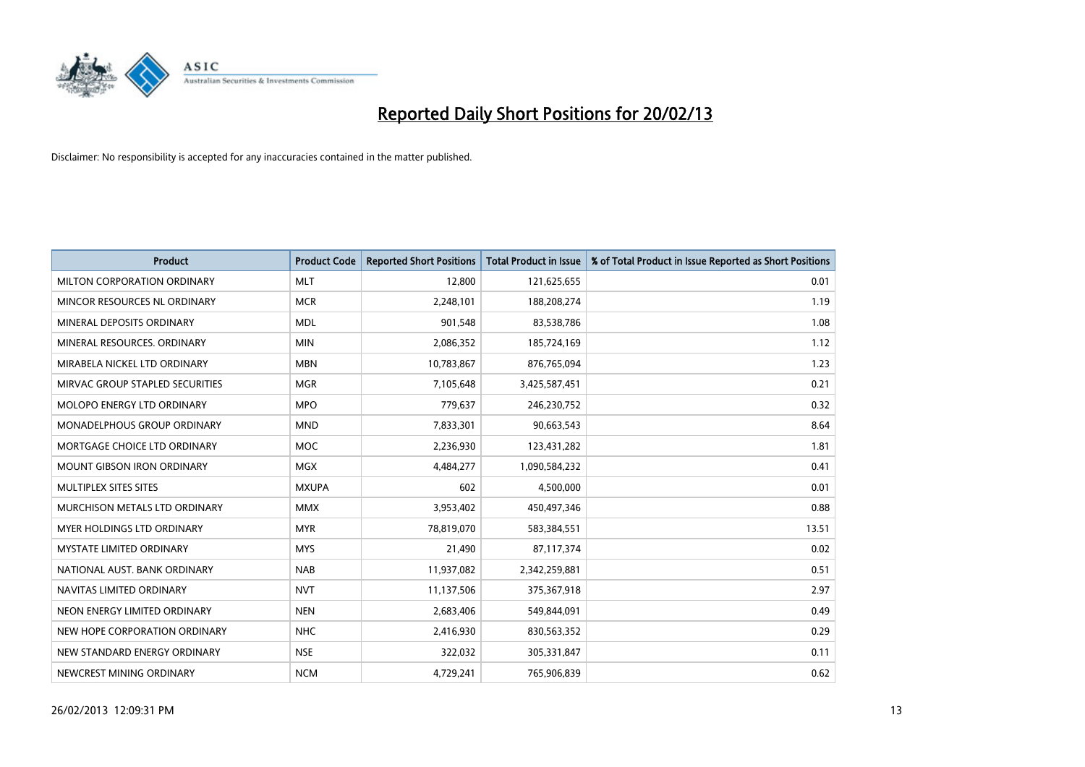

| <b>Product</b>                    | <b>Product Code</b> | <b>Reported Short Positions</b> | <b>Total Product in Issue</b> | % of Total Product in Issue Reported as Short Positions |
|-----------------------------------|---------------------|---------------------------------|-------------------------------|---------------------------------------------------------|
| MILTON CORPORATION ORDINARY       | <b>MLT</b>          | 12,800                          | 121,625,655                   | 0.01                                                    |
| MINCOR RESOURCES NL ORDINARY      | <b>MCR</b>          | 2,248,101                       | 188,208,274                   | 1.19                                                    |
| MINERAL DEPOSITS ORDINARY         | <b>MDL</b>          | 901,548                         | 83,538,786                    | 1.08                                                    |
| MINERAL RESOURCES. ORDINARY       | <b>MIN</b>          | 2,086,352                       | 185,724,169                   | 1.12                                                    |
| MIRABELA NICKEL LTD ORDINARY      | <b>MBN</b>          | 10,783,867                      | 876,765,094                   | 1.23                                                    |
| MIRVAC GROUP STAPLED SECURITIES   | <b>MGR</b>          | 7,105,648                       | 3,425,587,451                 | 0.21                                                    |
| MOLOPO ENERGY LTD ORDINARY        | <b>MPO</b>          | 779,637                         | 246,230,752                   | 0.32                                                    |
| MONADELPHOUS GROUP ORDINARY       | <b>MND</b>          | 7,833,301                       | 90,663,543                    | 8.64                                                    |
| MORTGAGE CHOICE LTD ORDINARY      | <b>MOC</b>          | 2,236,930                       | 123,431,282                   | 1.81                                                    |
| <b>MOUNT GIBSON IRON ORDINARY</b> | <b>MGX</b>          | 4,484,277                       | 1,090,584,232                 | 0.41                                                    |
| MULTIPLEX SITES SITES             | <b>MXUPA</b>        | 602                             | 4,500,000                     | 0.01                                                    |
| MURCHISON METALS LTD ORDINARY     | <b>MMX</b>          | 3,953,402                       | 450,497,346                   | 0.88                                                    |
| MYER HOLDINGS LTD ORDINARY        | <b>MYR</b>          | 78,819,070                      | 583,384,551                   | 13.51                                                   |
| <b>MYSTATE LIMITED ORDINARY</b>   | <b>MYS</b>          | 21,490                          | 87,117,374                    | 0.02                                                    |
| NATIONAL AUST, BANK ORDINARY      | <b>NAB</b>          | 11,937,082                      | 2,342,259,881                 | 0.51                                                    |
| NAVITAS LIMITED ORDINARY          | <b>NVT</b>          | 11,137,506                      | 375,367,918                   | 2.97                                                    |
| NEON ENERGY LIMITED ORDINARY      | <b>NEN</b>          | 2,683,406                       | 549,844,091                   | 0.49                                                    |
| NEW HOPE CORPORATION ORDINARY     | <b>NHC</b>          | 2,416,930                       | 830,563,352                   | 0.29                                                    |
| NEW STANDARD ENERGY ORDINARY      | <b>NSE</b>          | 322,032                         | 305,331,847                   | 0.11                                                    |
| NEWCREST MINING ORDINARY          | <b>NCM</b>          | 4,729,241                       | 765,906,839                   | 0.62                                                    |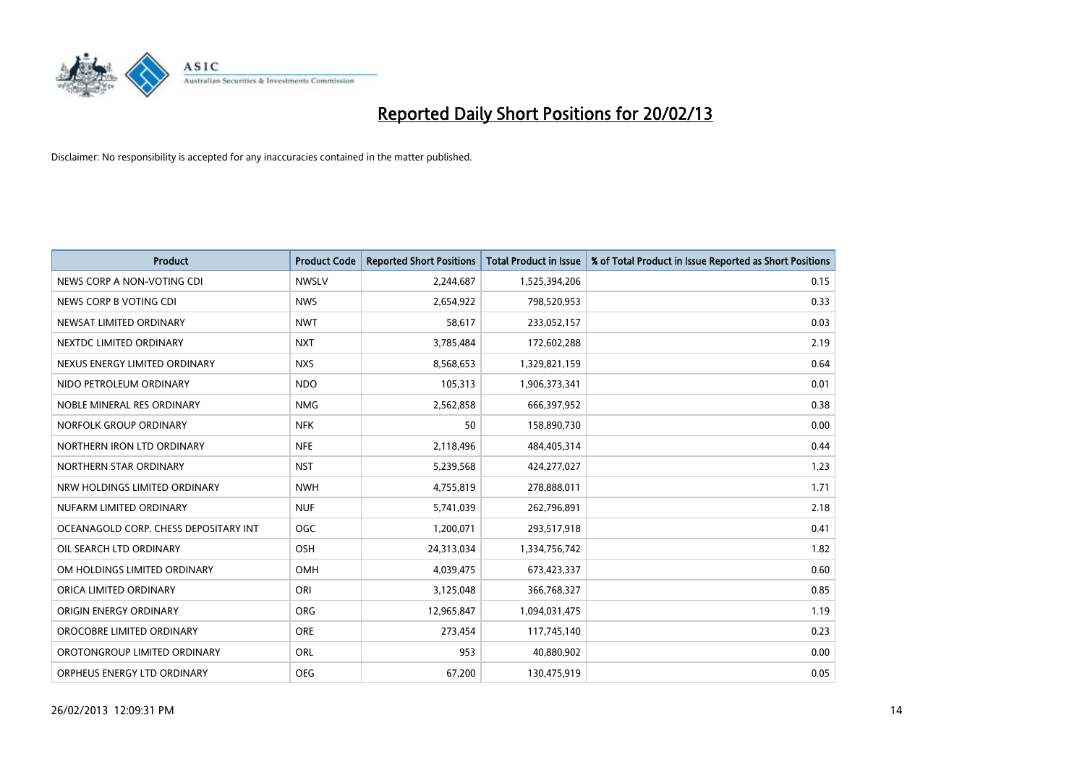

| <b>Product</b>                        | <b>Product Code</b> | <b>Reported Short Positions</b> | <b>Total Product in Issue</b> | % of Total Product in Issue Reported as Short Positions |
|---------------------------------------|---------------------|---------------------------------|-------------------------------|---------------------------------------------------------|
| NEWS CORP A NON-VOTING CDI            | <b>NWSLV</b>        | 2,244,687                       | 1,525,394,206                 | 0.15                                                    |
| NEWS CORP B VOTING CDI                | <b>NWS</b>          | 2,654,922                       | 798,520,953                   | 0.33                                                    |
| NEWSAT LIMITED ORDINARY               | <b>NWT</b>          | 58,617                          | 233,052,157                   | 0.03                                                    |
| NEXTDC LIMITED ORDINARY               | <b>NXT</b>          | 3,785,484                       | 172,602,288                   | 2.19                                                    |
| NEXUS ENERGY LIMITED ORDINARY         | <b>NXS</b>          | 8,568,653                       | 1,329,821,159                 | 0.64                                                    |
| NIDO PETROLEUM ORDINARY               | <b>NDO</b>          | 105,313                         | 1,906,373,341                 | 0.01                                                    |
| NOBLE MINERAL RES ORDINARY            | <b>NMG</b>          | 2,562,858                       | 666,397,952                   | 0.38                                                    |
| NORFOLK GROUP ORDINARY                | <b>NFK</b>          | 50                              | 158,890,730                   | 0.00                                                    |
| NORTHERN IRON LTD ORDINARY            | <b>NFE</b>          | 2,118,496                       | 484,405,314                   | 0.44                                                    |
| NORTHERN STAR ORDINARY                | <b>NST</b>          | 5,239,568                       | 424,277,027                   | 1.23                                                    |
| NRW HOLDINGS LIMITED ORDINARY         | <b>NWH</b>          | 4,755,819                       | 278,888,011                   | 1.71                                                    |
| NUFARM LIMITED ORDINARY               | <b>NUF</b>          | 5,741,039                       | 262,796,891                   | 2.18                                                    |
| OCEANAGOLD CORP. CHESS DEPOSITARY INT | <b>OGC</b>          | 1,200,071                       | 293,517,918                   | 0.41                                                    |
| OIL SEARCH LTD ORDINARY               | OSH                 | 24,313,034                      | 1,334,756,742                 | 1.82                                                    |
| OM HOLDINGS LIMITED ORDINARY          | <b>OMH</b>          | 4,039,475                       | 673,423,337                   | 0.60                                                    |
| ORICA LIMITED ORDINARY                | ORI                 | 3,125,048                       | 366,768,327                   | 0.85                                                    |
| ORIGIN ENERGY ORDINARY                | ORG                 | 12,965,847                      | 1,094,031,475                 | 1.19                                                    |
| OROCOBRE LIMITED ORDINARY             | <b>ORE</b>          | 273,454                         | 117,745,140                   | 0.23                                                    |
| OROTONGROUP LIMITED ORDINARY          | ORL                 | 953                             | 40,880,902                    | 0.00                                                    |
| ORPHEUS ENERGY LTD ORDINARY           | <b>OEG</b>          | 67,200                          | 130,475,919                   | 0.05                                                    |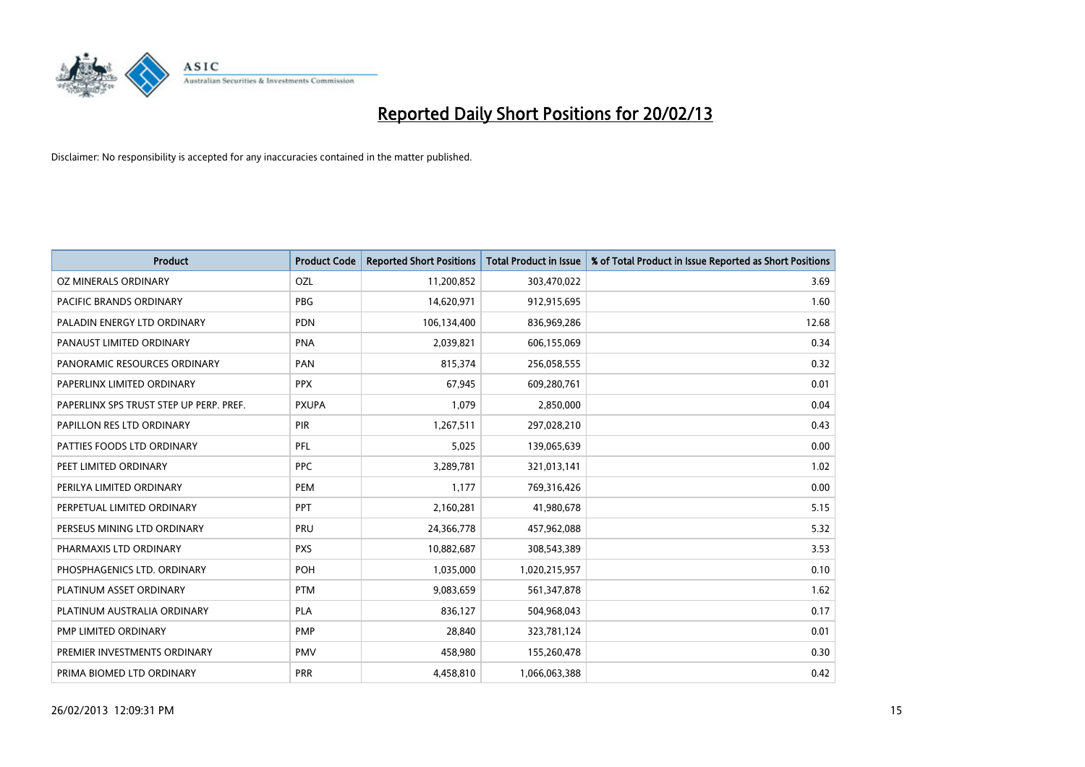

| <b>Product</b>                          | <b>Product Code</b> | <b>Reported Short Positions</b> | <b>Total Product in Issue</b> | % of Total Product in Issue Reported as Short Positions |
|-----------------------------------------|---------------------|---------------------------------|-------------------------------|---------------------------------------------------------|
| OZ MINERALS ORDINARY                    | OZL                 | 11,200,852                      | 303,470,022                   | 3.69                                                    |
| <b>PACIFIC BRANDS ORDINARY</b>          | <b>PBG</b>          | 14,620,971                      | 912,915,695                   | 1.60                                                    |
| PALADIN ENERGY LTD ORDINARY             | <b>PDN</b>          | 106,134,400                     | 836,969,286                   | 12.68                                                   |
| PANAUST LIMITED ORDINARY                | <b>PNA</b>          | 2,039,821                       | 606,155,069                   | 0.34                                                    |
| PANORAMIC RESOURCES ORDINARY            | PAN                 | 815,374                         | 256,058,555                   | 0.32                                                    |
| PAPERLINX LIMITED ORDINARY              | <b>PPX</b>          | 67,945                          | 609,280,761                   | 0.01                                                    |
| PAPERLINX SPS TRUST STEP UP PERP. PREF. | <b>PXUPA</b>        | 1,079                           | 2,850,000                     | 0.04                                                    |
| PAPILLON RES LTD ORDINARY               | <b>PIR</b>          | 1,267,511                       | 297,028,210                   | 0.43                                                    |
| PATTIES FOODS LTD ORDINARY              | PFL                 | 5,025                           | 139,065,639                   | 0.00                                                    |
| PEET LIMITED ORDINARY                   | <b>PPC</b>          | 3,289,781                       | 321,013,141                   | 1.02                                                    |
| PERILYA LIMITED ORDINARY                | PEM                 | 1,177                           | 769,316,426                   | 0.00                                                    |
| PERPETUAL LIMITED ORDINARY              | <b>PPT</b>          | 2,160,281                       | 41,980,678                    | 5.15                                                    |
| PERSEUS MINING LTD ORDINARY             | PRU                 | 24,366,778                      | 457,962,088                   | 5.32                                                    |
| PHARMAXIS LTD ORDINARY                  | <b>PXS</b>          | 10,882,687                      | 308,543,389                   | 3.53                                                    |
| PHOSPHAGENICS LTD. ORDINARY             | POH                 | 1,035,000                       | 1,020,215,957                 | 0.10                                                    |
| PLATINUM ASSET ORDINARY                 | <b>PTM</b>          | 9,083,659                       | 561,347,878                   | 1.62                                                    |
| PLATINUM AUSTRALIA ORDINARY             | <b>PLA</b>          | 836,127                         | 504,968,043                   | 0.17                                                    |
| PMP LIMITED ORDINARY                    | <b>PMP</b>          | 28,840                          | 323,781,124                   | 0.01                                                    |
| PREMIER INVESTMENTS ORDINARY            | <b>PMV</b>          | 458,980                         | 155,260,478                   | 0.30                                                    |
| PRIMA BIOMED LTD ORDINARY               | <b>PRR</b>          | 4,458,810                       | 1,066,063,388                 | 0.42                                                    |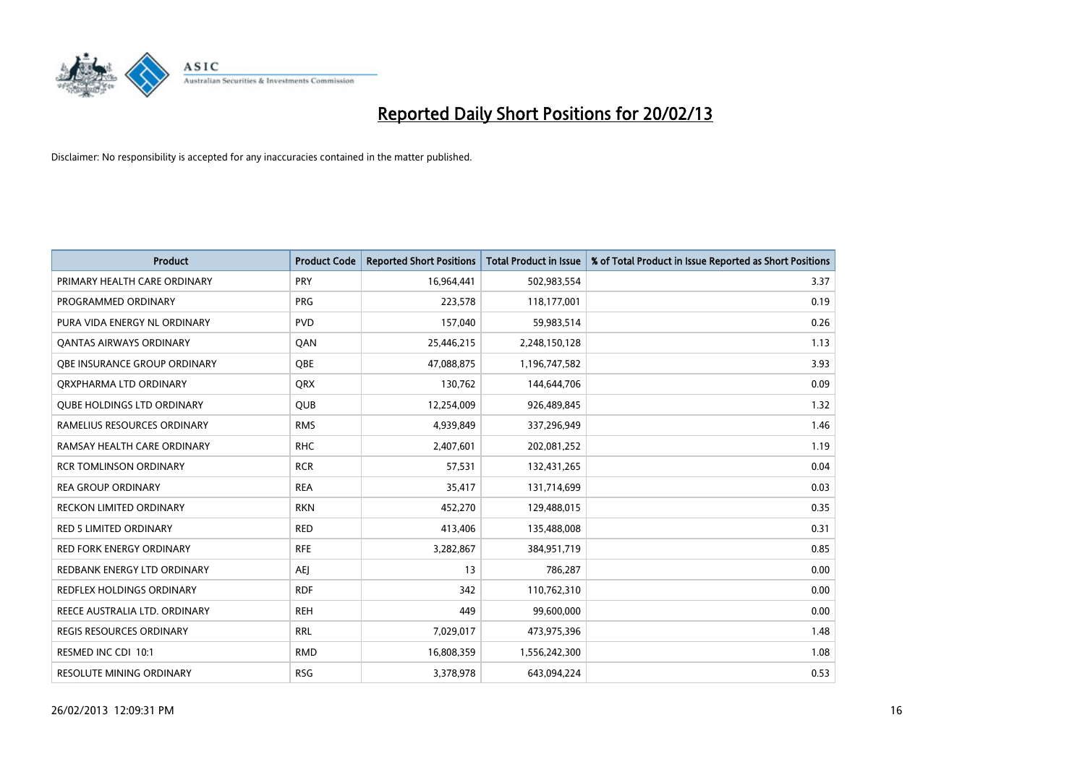

| <b>Product</b>                    | <b>Product Code</b> | <b>Reported Short Positions</b> | <b>Total Product in Issue</b> | % of Total Product in Issue Reported as Short Positions |
|-----------------------------------|---------------------|---------------------------------|-------------------------------|---------------------------------------------------------|
| PRIMARY HEALTH CARE ORDINARY      | PRY                 | 16,964,441                      | 502,983,554                   | 3.37                                                    |
| PROGRAMMED ORDINARY               | <b>PRG</b>          | 223,578                         | 118,177,001                   | 0.19                                                    |
| PURA VIDA ENERGY NL ORDINARY      | <b>PVD</b>          | 157,040                         | 59,983,514                    | 0.26                                                    |
| <b>QANTAS AIRWAYS ORDINARY</b>    | QAN                 | 25,446,215                      | 2,248,150,128                 | 1.13                                                    |
| OBE INSURANCE GROUP ORDINARY      | <b>OBE</b>          | 47,088,875                      | 1,196,747,582                 | 3.93                                                    |
| ORXPHARMA LTD ORDINARY            | <b>ORX</b>          | 130,762                         | 144,644,706                   | 0.09                                                    |
| <b>QUBE HOLDINGS LTD ORDINARY</b> | <b>QUB</b>          | 12,254,009                      | 926,489,845                   | 1.32                                                    |
| RAMELIUS RESOURCES ORDINARY       | <b>RMS</b>          | 4,939,849                       | 337,296,949                   | 1.46                                                    |
| RAMSAY HEALTH CARE ORDINARY       | <b>RHC</b>          | 2,407,601                       | 202,081,252                   | 1.19                                                    |
| <b>RCR TOMLINSON ORDINARY</b>     | <b>RCR</b>          | 57,531                          | 132,431,265                   | 0.04                                                    |
| <b>REA GROUP ORDINARY</b>         | <b>REA</b>          | 35,417                          | 131,714,699                   | 0.03                                                    |
| <b>RECKON LIMITED ORDINARY</b>    | <b>RKN</b>          | 452,270                         | 129,488,015                   | 0.35                                                    |
| <b>RED 5 LIMITED ORDINARY</b>     | <b>RED</b>          | 413,406                         | 135,488,008                   | 0.31                                                    |
| <b>RED FORK ENERGY ORDINARY</b>   | <b>RFE</b>          | 3,282,867                       | 384,951,719                   | 0.85                                                    |
| REDBANK ENERGY LTD ORDINARY       | <b>AEJ</b>          | 13                              | 786,287                       | 0.00                                                    |
| REDFLEX HOLDINGS ORDINARY         | <b>RDF</b>          | 342                             | 110,762,310                   | 0.00                                                    |
| REECE AUSTRALIA LTD. ORDINARY     | <b>REH</b>          | 449                             | 99,600,000                    | 0.00                                                    |
| REGIS RESOURCES ORDINARY          | <b>RRL</b>          | 7,029,017                       | 473,975,396                   | 1.48                                                    |
| RESMED INC CDI 10:1               | <b>RMD</b>          | 16,808,359                      | 1,556,242,300                 | 1.08                                                    |
| <b>RESOLUTE MINING ORDINARY</b>   | <b>RSG</b>          | 3,378,978                       | 643,094,224                   | 0.53                                                    |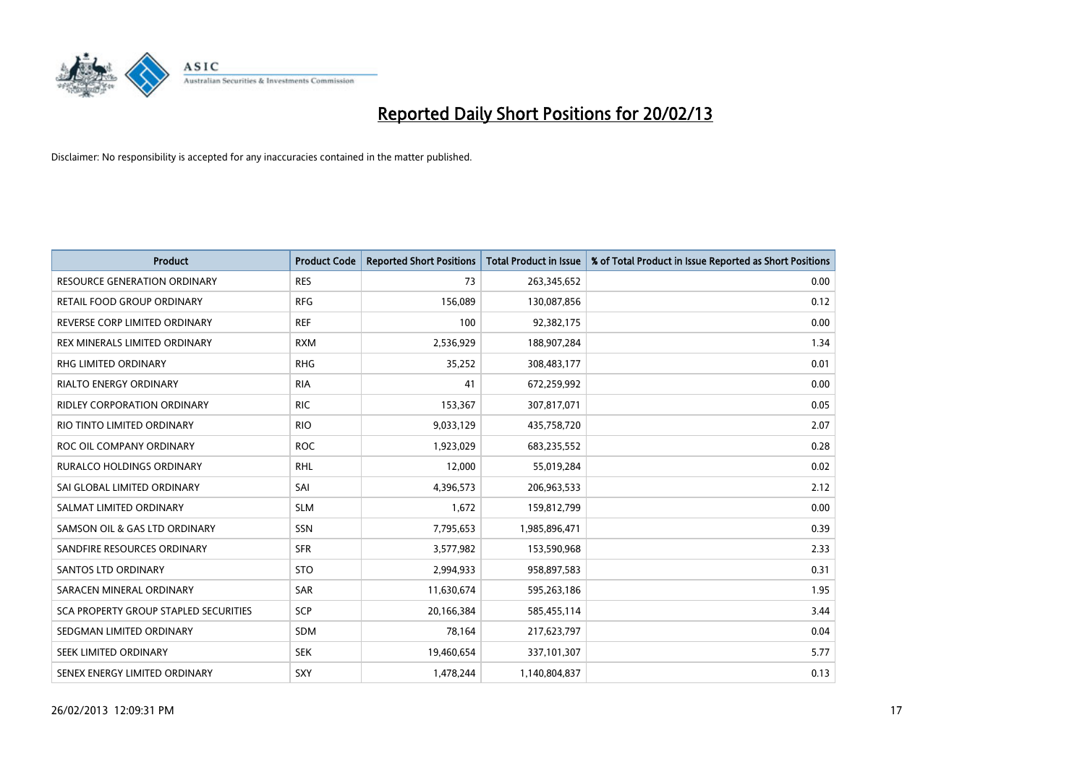

| <b>Product</b>                        | <b>Product Code</b> | <b>Reported Short Positions</b> | <b>Total Product in Issue</b> | % of Total Product in Issue Reported as Short Positions |
|---------------------------------------|---------------------|---------------------------------|-------------------------------|---------------------------------------------------------|
| <b>RESOURCE GENERATION ORDINARY</b>   | <b>RES</b>          | 73                              | 263,345,652                   | 0.00                                                    |
| <b>RETAIL FOOD GROUP ORDINARY</b>     | <b>RFG</b>          | 156,089                         | 130,087,856                   | 0.12                                                    |
| REVERSE CORP LIMITED ORDINARY         | <b>REF</b>          | 100                             | 92,382,175                    | 0.00                                                    |
| REX MINERALS LIMITED ORDINARY         | <b>RXM</b>          | 2,536,929                       | 188,907,284                   | 1.34                                                    |
| <b>RHG LIMITED ORDINARY</b>           | <b>RHG</b>          | 35,252                          | 308,483,177                   | 0.01                                                    |
| RIALTO ENERGY ORDINARY                | <b>RIA</b>          | 41                              | 672,259,992                   | 0.00                                                    |
| <b>RIDLEY CORPORATION ORDINARY</b>    | <b>RIC</b>          | 153,367                         | 307,817,071                   | 0.05                                                    |
| RIO TINTO LIMITED ORDINARY            | <b>RIO</b>          | 9,033,129                       | 435,758,720                   | 2.07                                                    |
| ROC OIL COMPANY ORDINARY              | <b>ROC</b>          | 1,923,029                       | 683,235,552                   | 0.28                                                    |
| <b>RURALCO HOLDINGS ORDINARY</b>      | <b>RHL</b>          | 12,000                          | 55,019,284                    | 0.02                                                    |
| SAI GLOBAL LIMITED ORDINARY           | SAI                 | 4,396,573                       | 206,963,533                   | 2.12                                                    |
| SALMAT LIMITED ORDINARY               | <b>SLM</b>          | 1,672                           | 159,812,799                   | 0.00                                                    |
| SAMSON OIL & GAS LTD ORDINARY         | <b>SSN</b>          | 7,795,653                       | 1,985,896,471                 | 0.39                                                    |
| SANDFIRE RESOURCES ORDINARY           | <b>SFR</b>          | 3,577,982                       | 153,590,968                   | 2.33                                                    |
| SANTOS LTD ORDINARY                   | <b>STO</b>          | 2,994,933                       | 958,897,583                   | 0.31                                                    |
| SARACEN MINERAL ORDINARY              | SAR                 | 11,630,674                      | 595,263,186                   | 1.95                                                    |
| SCA PROPERTY GROUP STAPLED SECURITIES | <b>SCP</b>          | 20,166,384                      | 585,455,114                   | 3.44                                                    |
| SEDGMAN LIMITED ORDINARY              | SDM                 | 78,164                          | 217,623,797                   | 0.04                                                    |
| SEEK LIMITED ORDINARY                 | <b>SEK</b>          | 19,460,654                      | 337,101,307                   | 5.77                                                    |
| SENEX ENERGY LIMITED ORDINARY         | SXY                 | 1,478,244                       | 1,140,804,837                 | 0.13                                                    |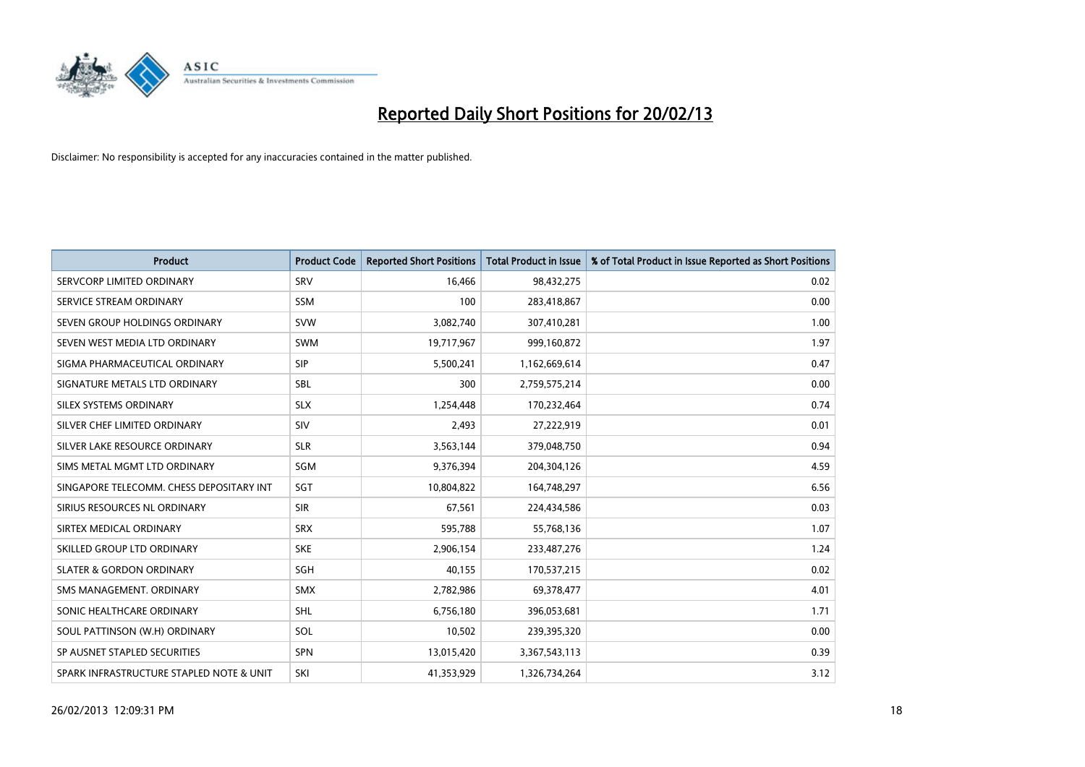

| <b>Product</b>                           | <b>Product Code</b> | <b>Reported Short Positions</b> | <b>Total Product in Issue</b> | % of Total Product in Issue Reported as Short Positions |
|------------------------------------------|---------------------|---------------------------------|-------------------------------|---------------------------------------------------------|
| SERVCORP LIMITED ORDINARY                | SRV                 | 16,466                          | 98,432,275                    | 0.02                                                    |
| SERVICE STREAM ORDINARY                  | <b>SSM</b>          | 100                             | 283,418,867                   | 0.00                                                    |
| SEVEN GROUP HOLDINGS ORDINARY            | <b>SVW</b>          | 3,082,740                       | 307,410,281                   | 1.00                                                    |
| SEVEN WEST MEDIA LTD ORDINARY            | <b>SWM</b>          | 19,717,967                      | 999,160,872                   | 1.97                                                    |
| SIGMA PHARMACEUTICAL ORDINARY            | <b>SIP</b>          | 5,500,241                       | 1,162,669,614                 | 0.47                                                    |
| SIGNATURE METALS LTD ORDINARY            | <b>SBL</b>          | 300                             | 2,759,575,214                 | 0.00                                                    |
| SILEX SYSTEMS ORDINARY                   | <b>SLX</b>          | 1,254,448                       | 170,232,464                   | 0.74                                                    |
| SILVER CHEF LIMITED ORDINARY             | SIV                 | 2,493                           | 27,222,919                    | 0.01                                                    |
| SILVER LAKE RESOURCE ORDINARY            | <b>SLR</b>          | 3,563,144                       | 379,048,750                   | 0.94                                                    |
| SIMS METAL MGMT LTD ORDINARY             | SGM                 | 9,376,394                       | 204,304,126                   | 4.59                                                    |
| SINGAPORE TELECOMM. CHESS DEPOSITARY INT | <b>SGT</b>          | 10,804,822                      | 164,748,297                   | 6.56                                                    |
| SIRIUS RESOURCES NL ORDINARY             | <b>SIR</b>          | 67,561                          | 224,434,586                   | 0.03                                                    |
| SIRTEX MEDICAL ORDINARY                  | <b>SRX</b>          | 595,788                         | 55,768,136                    | 1.07                                                    |
| SKILLED GROUP LTD ORDINARY               | <b>SKE</b>          | 2,906,154                       | 233,487,276                   | 1.24                                                    |
| <b>SLATER &amp; GORDON ORDINARY</b>      | SGH                 | 40,155                          | 170,537,215                   | 0.02                                                    |
| SMS MANAGEMENT, ORDINARY                 | SMX                 | 2,782,986                       | 69,378,477                    | 4.01                                                    |
| SONIC HEALTHCARE ORDINARY                | <b>SHL</b>          | 6,756,180                       | 396,053,681                   | 1.71                                                    |
| SOUL PATTINSON (W.H) ORDINARY            | SOL                 | 10,502                          | 239,395,320                   | 0.00                                                    |
| SP AUSNET STAPLED SECURITIES             | <b>SPN</b>          | 13,015,420                      | 3,367,543,113                 | 0.39                                                    |
| SPARK INFRASTRUCTURE STAPLED NOTE & UNIT | SKI                 | 41,353,929                      | 1,326,734,264                 | 3.12                                                    |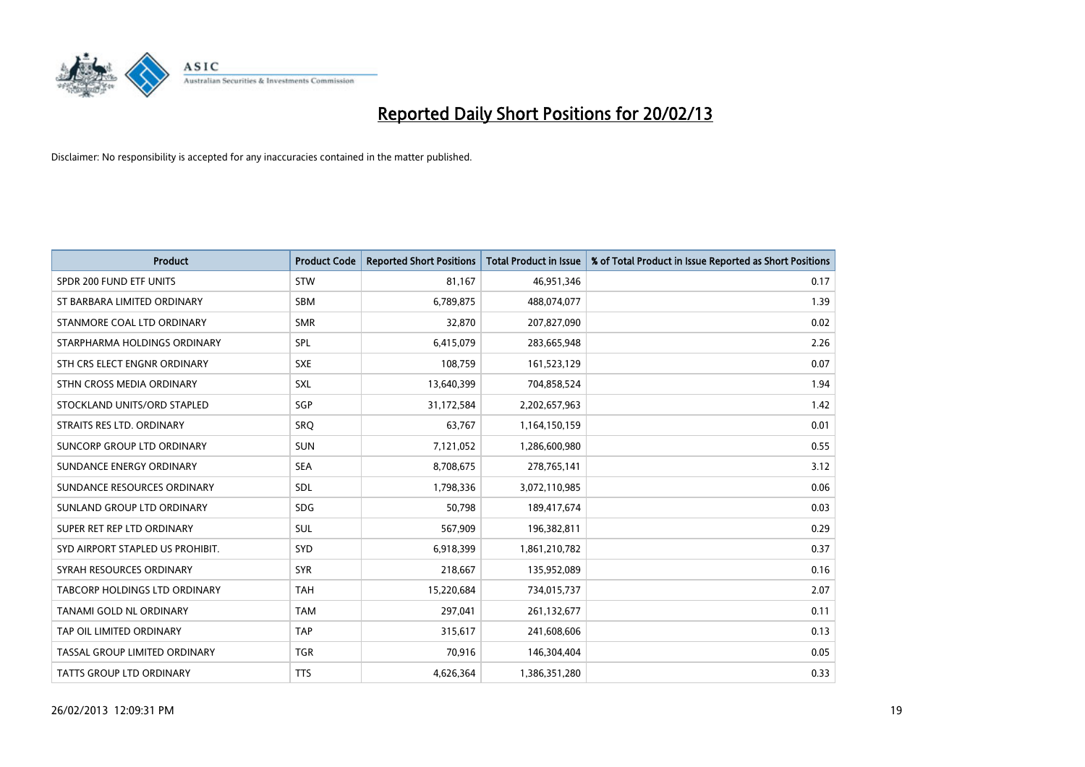

| <b>Product</b>                   | <b>Product Code</b> | <b>Reported Short Positions</b> | <b>Total Product in Issue</b> | % of Total Product in Issue Reported as Short Positions |
|----------------------------------|---------------------|---------------------------------|-------------------------------|---------------------------------------------------------|
| SPDR 200 FUND ETF UNITS          | <b>STW</b>          | 81,167                          | 46,951,346                    | 0.17                                                    |
| ST BARBARA LIMITED ORDINARY      | <b>SBM</b>          | 6,789,875                       | 488,074,077                   | 1.39                                                    |
| STANMORE COAL LTD ORDINARY       | <b>SMR</b>          | 32,870                          | 207,827,090                   | 0.02                                                    |
| STARPHARMA HOLDINGS ORDINARY     | <b>SPL</b>          | 6,415,079                       | 283,665,948                   | 2.26                                                    |
| STH CRS ELECT ENGNR ORDINARY     | <b>SXE</b>          | 108,759                         | 161,523,129                   | 0.07                                                    |
| STHN CROSS MEDIA ORDINARY        | <b>SXL</b>          | 13,640,399                      | 704,858,524                   | 1.94                                                    |
| STOCKLAND UNITS/ORD STAPLED      | <b>SGP</b>          | 31,172,584                      | 2,202,657,963                 | 1.42                                                    |
| STRAITS RES LTD. ORDINARY        | SRO                 | 63,767                          | 1,164,150,159                 | 0.01                                                    |
| SUNCORP GROUP LTD ORDINARY       | <b>SUN</b>          | 7,121,052                       | 1,286,600,980                 | 0.55                                                    |
| SUNDANCE ENERGY ORDINARY         | <b>SEA</b>          | 8,708,675                       | 278,765,141                   | 3.12                                                    |
| SUNDANCE RESOURCES ORDINARY      | SDL                 | 1,798,336                       | 3,072,110,985                 | 0.06                                                    |
| SUNLAND GROUP LTD ORDINARY       | <b>SDG</b>          | 50,798                          | 189,417,674                   | 0.03                                                    |
| SUPER RET REP LTD ORDINARY       | SUL                 | 567,909                         | 196,382,811                   | 0.29                                                    |
| SYD AIRPORT STAPLED US PROHIBIT. | <b>SYD</b>          | 6,918,399                       | 1,861,210,782                 | 0.37                                                    |
| SYRAH RESOURCES ORDINARY         | <b>SYR</b>          | 218,667                         | 135,952,089                   | 0.16                                                    |
| TABCORP HOLDINGS LTD ORDINARY    | <b>TAH</b>          | 15,220,684                      | 734,015,737                   | 2.07                                                    |
| TANAMI GOLD NL ORDINARY          | <b>TAM</b>          | 297,041                         | 261,132,677                   | 0.11                                                    |
| TAP OIL LIMITED ORDINARY         | <b>TAP</b>          | 315,617                         | 241,608,606                   | 0.13                                                    |
| TASSAL GROUP LIMITED ORDINARY    | <b>TGR</b>          | 70,916                          | 146,304,404                   | 0.05                                                    |
| TATTS GROUP LTD ORDINARY         | <b>TTS</b>          | 4,626,364                       | 1,386,351,280                 | 0.33                                                    |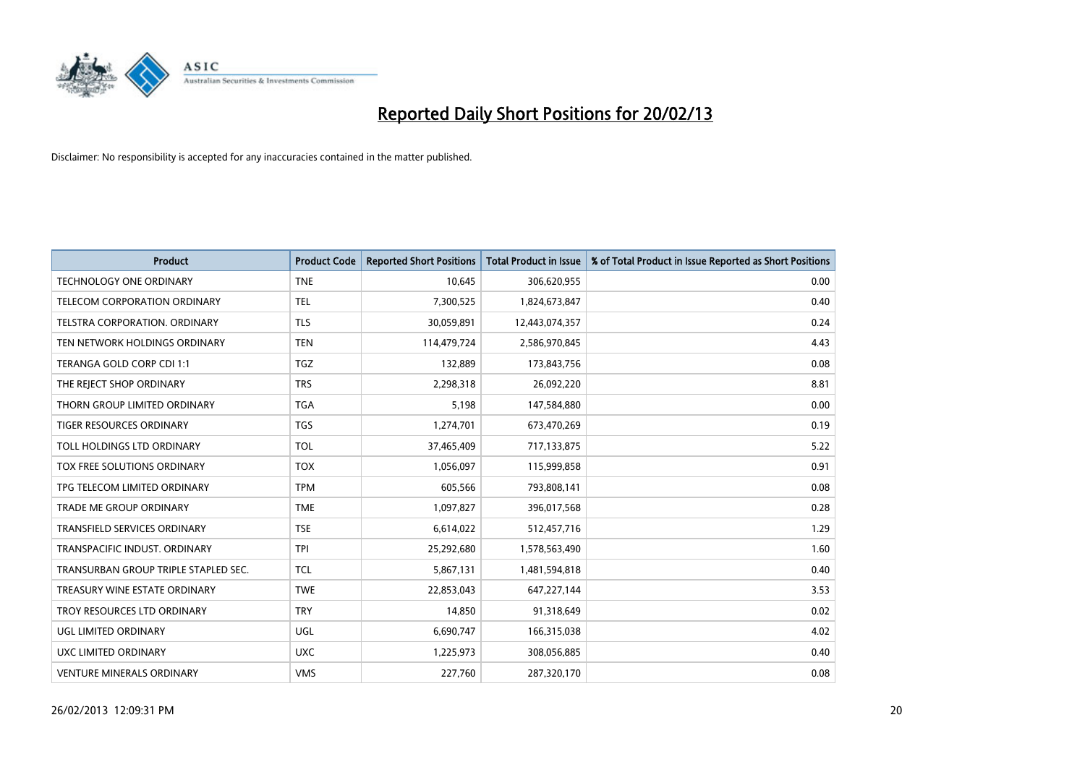

| <b>Product</b>                       | <b>Product Code</b> | <b>Reported Short Positions</b> | <b>Total Product in Issue</b> | % of Total Product in Issue Reported as Short Positions |
|--------------------------------------|---------------------|---------------------------------|-------------------------------|---------------------------------------------------------|
| <b>TECHNOLOGY ONE ORDINARY</b>       | <b>TNE</b>          | 10,645                          | 306,620,955                   | 0.00                                                    |
| TELECOM CORPORATION ORDINARY         | <b>TEL</b>          | 7,300,525                       | 1,824,673,847                 | 0.40                                                    |
| TELSTRA CORPORATION, ORDINARY        | <b>TLS</b>          | 30,059,891                      | 12,443,074,357                | 0.24                                                    |
| TEN NETWORK HOLDINGS ORDINARY        | <b>TEN</b>          | 114,479,724                     | 2,586,970,845                 | 4.43                                                    |
| TERANGA GOLD CORP CDI 1:1            | TGZ                 | 132,889                         | 173,843,756                   | 0.08                                                    |
| THE REJECT SHOP ORDINARY             | <b>TRS</b>          | 2,298,318                       | 26,092,220                    | 8.81                                                    |
| THORN GROUP LIMITED ORDINARY         | TGA                 | 5,198                           | 147,584,880                   | 0.00                                                    |
| TIGER RESOURCES ORDINARY             | TGS                 | 1,274,701                       | 673,470,269                   | 0.19                                                    |
| TOLL HOLDINGS LTD ORDINARY           | <b>TOL</b>          | 37,465,409                      | 717,133,875                   | 5.22                                                    |
| TOX FREE SOLUTIONS ORDINARY          | <b>TOX</b>          | 1,056,097                       | 115,999,858                   | 0.91                                                    |
| TPG TELECOM LIMITED ORDINARY         | <b>TPM</b>          | 605,566                         | 793,808,141                   | 0.08                                                    |
| <b>TRADE ME GROUP ORDINARY</b>       | <b>TME</b>          | 1,097,827                       | 396,017,568                   | 0.28                                                    |
| TRANSFIELD SERVICES ORDINARY         | <b>TSE</b>          | 6,614,022                       | 512,457,716                   | 1.29                                                    |
| TRANSPACIFIC INDUST, ORDINARY        | TPI                 | 25,292,680                      | 1,578,563,490                 | 1.60                                                    |
| TRANSURBAN GROUP TRIPLE STAPLED SEC. | <b>TCL</b>          | 5,867,131                       | 1,481,594,818                 | 0.40                                                    |
| TREASURY WINE ESTATE ORDINARY        | <b>TWE</b>          | 22,853,043                      | 647,227,144                   | 3.53                                                    |
| TROY RESOURCES LTD ORDINARY          | <b>TRY</b>          | 14,850                          | 91,318,649                    | 0.02                                                    |
| UGL LIMITED ORDINARY                 | UGL                 | 6,690,747                       | 166,315,038                   | 4.02                                                    |
| UXC LIMITED ORDINARY                 | <b>UXC</b>          | 1,225,973                       | 308,056,885                   | 0.40                                                    |
| <b>VENTURE MINERALS ORDINARY</b>     | <b>VMS</b>          | 227,760                         | 287,320,170                   | 0.08                                                    |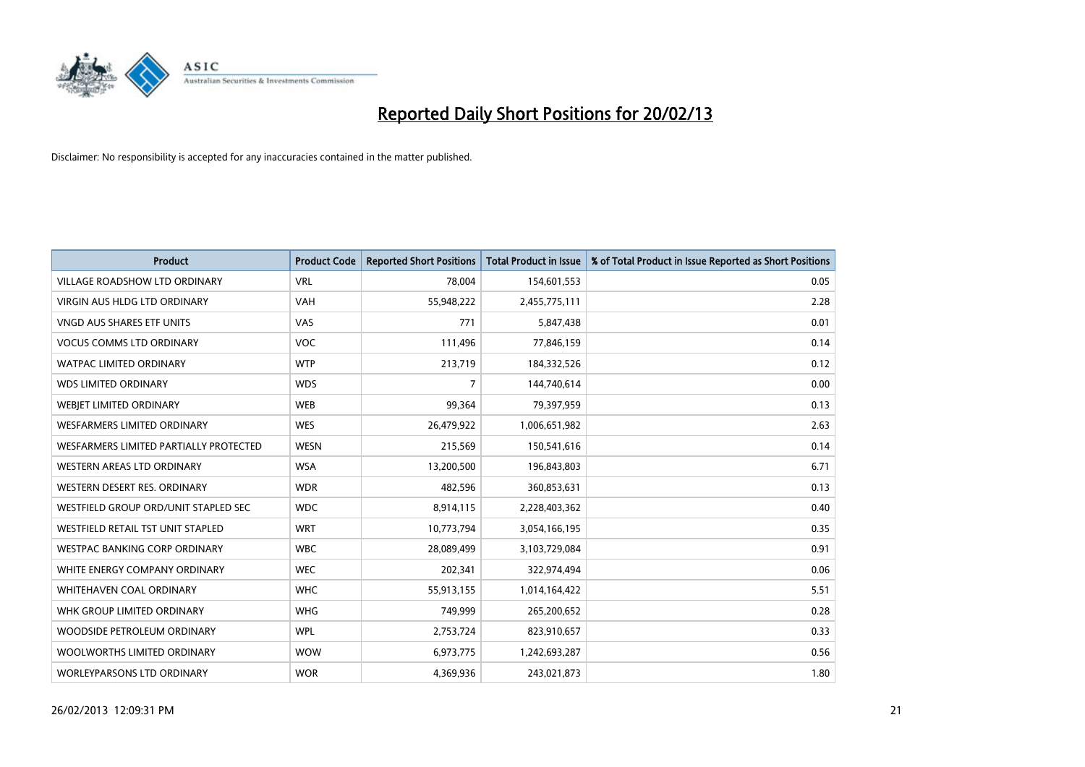

| <b>Product</b>                         | <b>Product Code</b> | <b>Reported Short Positions</b> | <b>Total Product in Issue</b> | % of Total Product in Issue Reported as Short Positions |
|----------------------------------------|---------------------|---------------------------------|-------------------------------|---------------------------------------------------------|
| <b>VILLAGE ROADSHOW LTD ORDINARY</b>   | <b>VRL</b>          | 78,004                          | 154,601,553                   | 0.05                                                    |
| <b>VIRGIN AUS HLDG LTD ORDINARY</b>    | <b>VAH</b>          | 55,948,222                      | 2,455,775,111                 | 2.28                                                    |
| <b>VNGD AUS SHARES ETF UNITS</b>       | VAS                 | 771                             | 5,847,438                     | 0.01                                                    |
| <b>VOCUS COMMS LTD ORDINARY</b>        | <b>VOC</b>          | 111,496                         | 77,846,159                    | 0.14                                                    |
| <b>WATPAC LIMITED ORDINARY</b>         | <b>WTP</b>          | 213,719                         | 184,332,526                   | 0.12                                                    |
| <b>WDS LIMITED ORDINARY</b>            | <b>WDS</b>          | $\overline{7}$                  | 144,740,614                   | 0.00                                                    |
| WEBJET LIMITED ORDINARY                | <b>WEB</b>          | 99,364                          | 79,397,959                    | 0.13                                                    |
| <b>WESFARMERS LIMITED ORDINARY</b>     | <b>WES</b>          | 26,479,922                      | 1,006,651,982                 | 2.63                                                    |
| WESFARMERS LIMITED PARTIALLY PROTECTED | <b>WESN</b>         | 215,569                         | 150,541,616                   | 0.14                                                    |
| WESTERN AREAS LTD ORDINARY             | <b>WSA</b>          | 13,200,500                      | 196,843,803                   | 6.71                                                    |
| WESTERN DESERT RES. ORDINARY           | <b>WDR</b>          | 482,596                         | 360,853,631                   | 0.13                                                    |
| WESTFIELD GROUP ORD/UNIT STAPLED SEC   | <b>WDC</b>          | 8,914,115                       | 2,228,403,362                 | 0.40                                                    |
| WESTFIELD RETAIL TST UNIT STAPLED      | <b>WRT</b>          | 10,773,794                      | 3,054,166,195                 | 0.35                                                    |
| <b>WESTPAC BANKING CORP ORDINARY</b>   | <b>WBC</b>          | 28,089,499                      | 3,103,729,084                 | 0.91                                                    |
| WHITE ENERGY COMPANY ORDINARY          | <b>WEC</b>          | 202,341                         | 322,974,494                   | 0.06                                                    |
| <b>WHITEHAVEN COAL ORDINARY</b>        | <b>WHC</b>          | 55,913,155                      | 1,014,164,422                 | 5.51                                                    |
| WHK GROUP LIMITED ORDINARY             | <b>WHG</b>          | 749,999                         | 265,200,652                   | 0.28                                                    |
| WOODSIDE PETROLEUM ORDINARY            | <b>WPL</b>          | 2,753,724                       | 823,910,657                   | 0.33                                                    |
| WOOLWORTHS LIMITED ORDINARY            | <b>WOW</b>          | 6,973,775                       | 1,242,693,287                 | 0.56                                                    |
| WORLEYPARSONS LTD ORDINARY             | <b>WOR</b>          | 4,369,936                       | 243,021,873                   | 1.80                                                    |